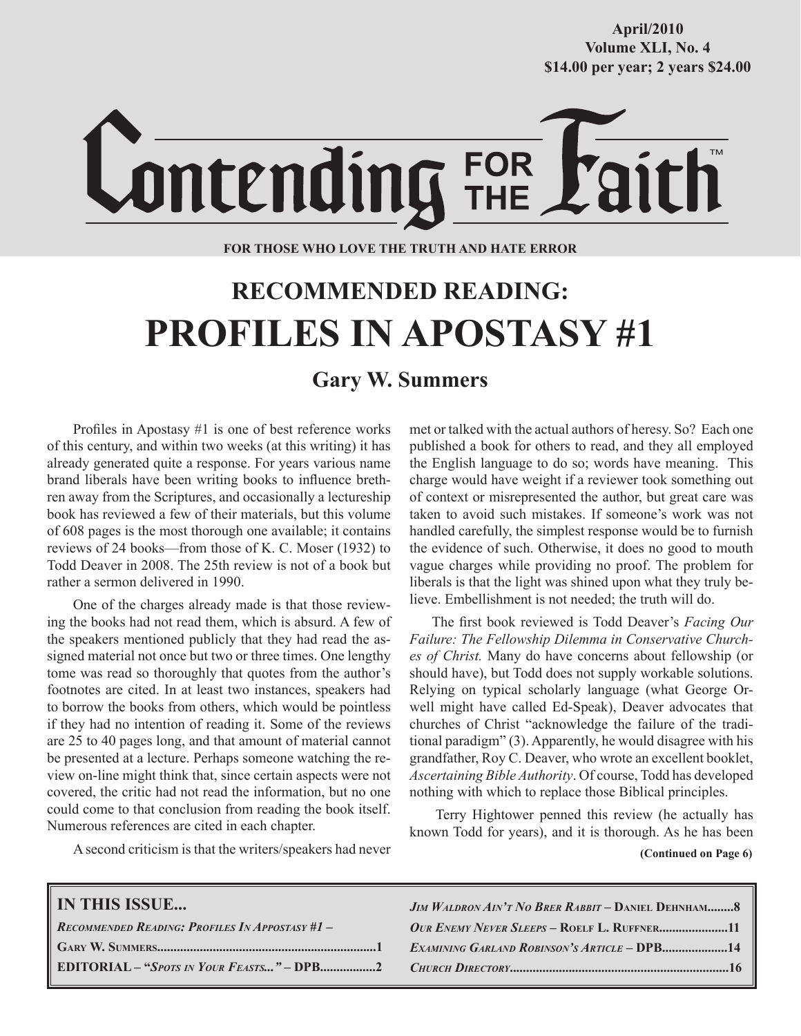**October/2007 Volume XLI, No. 4 Volume XXXVIII, No. 10 \$14.00 per year; 2 years \$24.00 \$14.00 per year; 2 years \$24.00 April/2010**



### **FOR THOSE WHO LOVE THE TRUTH AND HATE ERROR**

# **RECOMMENDED READING: PROFILES IN APOSTASY #1**

# **Gary W. Summers**

Profiles in Apostasy #1 is one of best reference works of this century, and within two weeks (at this writing) it has already generated quite a response. For years various name brand liberals have been writing books to influence brethren away from the Scriptures, and occasionally a lectureship book has reviewed a few of their materials, but this volume of 608 pages is the most thorough one available; it contains reviews of 24 books—from those of K. C. Moser (1932) to Todd Deaver in 2008. The 25th review is not of a book but rather a sermon delivered in 1990.

One of the charges already made is that those reviewing the books had not read them, which is absurd. A few of the speakers mentioned publicly that they had read the assigned material not once but two or three times. One lengthy tome was read so thoroughly that quotes from the author's footnotes are cited. In at least two instances, speakers had to borrow the books from others, which would be pointless if they had no intention of reading it. Some of the reviews are 25 to 40 pages long, and that amount of material cannot be presented at a lecture. Perhaps someone watching the review on-line might think that, since certain aspects were not covered, the critic had not read the information, but no one could come to that conclusion from reading the book itself. Numerous references are cited in each chapter.

met or talked with the actual authors of heresy. So? Each one published a book for others to read, and they all employed the English language to do so; words have meaning. This charge would have weight if a reviewer took something out of context or misrepresented the author, but great care was taken to avoid such mistakes. If someone's work was not handled carefully, the simplest response would be to furnish the evidence of such. Otherwise, it does no good to mouth vague charges while providing no proof. The problem for liberals is that the light was shined upon what they truly believe. Embellishment is not needed; the truth will do.

The first book reviewed is Todd Deaver's *Facing Our Failure: The Fellowship Dilemma in Conservative Churches of Christ.* Many do have concerns about fellowship (or should have), but Todd does not supply workable solutions. Relying on typical scholarly language (what George Orwell might have called Ed-Speak), Deaver advocates that churches of Christ "acknowledge the failure of the traditional paradigm" (3). Apparently, he would disagree with his grandfather, Roy C. Deaver, who wrote an excellent booklet, *Ascertaining Bible Authority*. Of course, Todd has developed nothing with which to replace those Biblical principles.

Terry Hightower penned this review (he actually has known Todd for years), and it is thorough. As he has been

A second criticism is that the writers/speakers had never

 **(Continued on Page 6)**

| <b>IN THIS ISSUE</b>                               | $JIM$ WALDRON $AIN$ <sup>T</sup> No BRER RABBIT – DANIEL DEHNHAM |
|----------------------------------------------------|------------------------------------------------------------------|
| $R$ ecommended Reading: Profiles In Appostasy #1 – |                                                                  |
|                                                    | <b>EXAMINING GARLAND ROBINSON'S ARTICLE - DPB14</b>              |
|                                                    |                                                                  |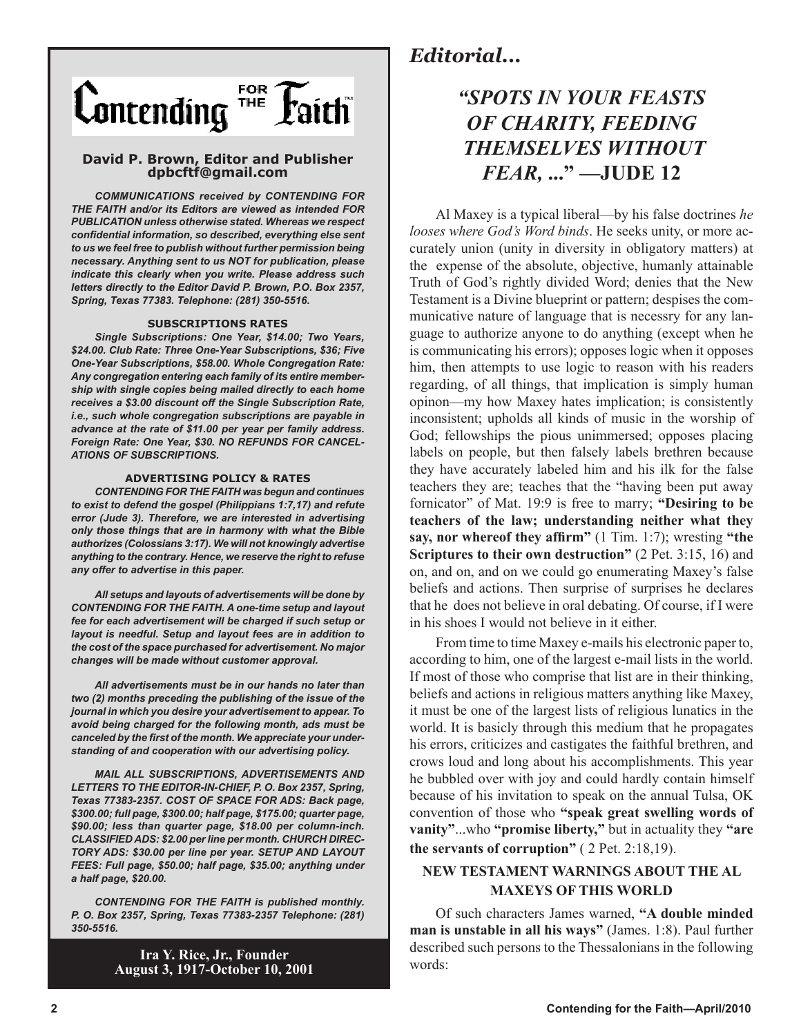

### **David P. Brown, Editor and Publisher dpbcftf@gmail.com**

*COMMUNICATIONS received by CONTENDING FOR THE FAITH and/or its Editors are viewed as intended FOR PUBLICATION unless otherwise stated. Whereas we respect confidential information, so described, everything else sent to us we feel free to publish without further permission being necessary. Anything sent to us NOT for publication, please indicate this clearly when you write. Please address such letters directly to the Editor David P. Brown, P.O. Box 2357, Spring, Texas 77383. Telephone: (281) 350-5516.*

#### **SUBSCRIPTIONS RATES**

*Single Subscriptions: One Year, \$14.00; Two Years, \$24.00. Club Rate: Three One-Year Subscriptions, \$36; Five One-Year Subscriptions, \$58.00. Whole Congregation Rate: Any congregation entering each family of its entire membership with single copies being mailed directly to each home receives a \$3.00 discount off the Single Subscription Rate, i.e., such whole congregation subscriptions are payable in advance at the rate of \$11.00 per year per family address. Foreign Rate: One Year, \$30. NO REFUNDS FOR CANCEL-ATIONS OF SUBSCRIPTIONS.*

#### **ADVERTISING POLICY & RATES**

*CONTENDING FOR THE FAITH was begun and continues to exist to defend the gospel (Philippians 1:7,17) and refute error (Jude 3). Therefore, we are interested in advertising only those things that are in harmony with what the Bible authorizes (Colossians 3:17). We will not knowingly advertise anything to the contrary. Hence, we reserve the right to refuse any offer to advertise in this paper.*

*All setups and layouts of advertisements will be done by CONTENDING FOR THE FAITH. A one-time setup and layout fee for each advertisement will be charged if such setup or layout is needful. Setup and layout fees are in addition to the cost of the space purchased for advertisement. No major changes will be made without customer approval.*

*All advertisements must be in our hands no later than two (2) months preceding the publishing of the issue of the journal in which you desire your advertisement to appear. To avoid being charged for the following month, ads must be canceled by the first of the month. We appreciate your understanding of and cooperation with our advertising policy.*

*MAIL ALL SUBSCRIPTIONS, ADVERTISEMENTS AND LETTERS TO THE EDITOR-IN-CHIEF, P. O. Box 2357, Spring, Texas 77383-2357. COST OF SPACE FOR ADS: Back page, \$300.00; full page, \$300.00; half page, \$175.00; quarter page, \$90.00; less than quarter page, \$18.00 per column-inch. CLASSIFIED ADS: \$2.00 per line per month. CHURCH DIREC-TORY ADS: \$30.00 per line per year. SETUP AND LAYOUT FEES: Full page, \$50.00; half page, \$35.00; anything under a half page, \$20.00.*

*CONTENDING FOR THE FAITH is published monthly. P. O. Box 2357, Spring, Texas 77383-2357 Telephone: (281) 350-5516.*

> **Ira Y. Rice, Jr., Founder August 3, 1917-October 10, 2001**

# *Editorial...*

# *"SPOTS IN YOUR FEASTS OF CHARITY, FEEDING THEMSELVES WITHOUT FEAR,* **..." —JUDE 12**

Al Maxey is a typical liberal—by his false doctrines *he looses where God's Word binds*. He seeks unity, or more accurately union (unity in diversity in obligatory matters) at the expense of the absolute, objective, humanly attainable Truth of God's rightly divided Word; denies that the New Testament is a Divine blueprint or pattern; despises the communicative nature of language that is necessry for any language to authorize anyone to do anything (except when he is communicating his errors); opposes logic when it opposes him, then attempts to use logic to reason with his readers regarding, of all things, that implication is simply human opinon—my how Maxey hates implication; is consistently inconsistent; upholds all kinds of music in the worship of God; fellowships the pious unimmersed; opposes placing labels on people, but then falsely labels brethren because they have accurately labeled him and his ilk for the false teachers they are; teaches that the "having been put away fornicator" of Mat. 19:9 is free to marry; **"Desiring to be teachers of the law; understanding neither what they say, nor whereof they affirm"** (1 Tim. 1:7); wresting **"the Scriptures to their own destruction"** (2 Pet. 3:15, 16) and on, and on, and on we could go enumerating Maxey's false beliefs and actions. Then surprise of surprises he declares that he does not believe in oral debating. Of course, if I were in his shoes I would not believe in it either.

From time to time Maxey e-mails his electronic paper to, according to him, one of the largest e-mail lists in the world. If most of those who comprise that list are in their thinking, beliefs and actions in religious matters anything like Maxey, it must be one of the largest lists of religious lunatics in the world. It is basicly through this medium that he propagates his errors, criticizes and castigates the faithful brethren, and crows loud and long about his accomplishments. This year he bubbled over with joy and could hardly contain himself because of his invitation to speak on the annual Tulsa, OK convention of those who **"speak great swelling words of vanity"**...who **"promise liberty,"** but in actuality they **"are the servants of corruption"** ( 2 Pet. 2:18,19).

# **NEW TESTAMENT WARNINGS ABOUT THE AL MAXEYS OF THIS WORLD**

Of such characters James warned, **"A double minded man is unstable in all his ways"** (James. 1:8). Paul further described such persons to the Thessalonians in the following words: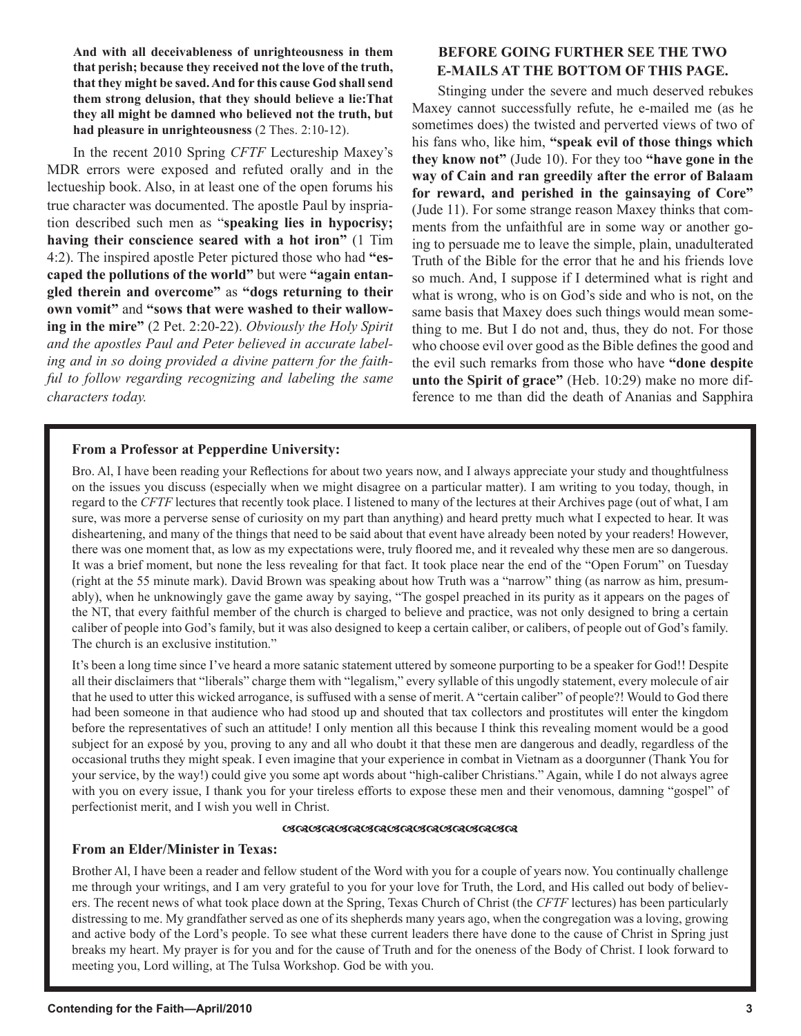**And with all deceivableness of unrighteousness in them that perish; because they received not the love of the truth, that they might be saved. And for this cause God shall send them strong delusion, that they should believe a lie:That they all might be damned who believed not the truth, but had pleasure in unrighteousness** (2 Thes. 2:10-12).

In the recent 2010 Spring *CFTF* Lectureship Maxey's MDR errors were exposed and refuted orally and in the lectueship book. Also, in at least one of the open forums his true character was documented. The apostle Paul by inspriation described such men as "**speaking lies in hypocrisy; having their conscience seared with a hot iron"** (1 Tim 4:2). The inspired apostle Peter pictured those who had **"escaped the pollutions of the world"** but were **"again entangled therein and overcome"** as **"dogs returning to their own vomit"** and **"sows that were washed to their wallowing in the mire"** (2 Pet. 2:20-22). *Obviously the Holy Spirit and the apostles Paul and Peter believed in accurate labeling and in so doing provided a divine pattern for the faithful to follow regarding recognizing and labeling the same characters today.*

# **BEFORE GOING FURTHER SEE THE TWO E-MAILS AT THE BOTTOM OF THIS PAGE.**

Stinging under the severe and much deserved rebukes Maxey cannot successfully refute, he e-mailed me (as he sometimes does) the twisted and perverted views of two of his fans who, like him, **"speak evil of those things which they know not"** (Jude 10). For they too **"have gone in the way of Cain and ran greedily after the error of Balaam for reward, and perished in the gainsaying of Core"** (Jude 11). For some strange reason Maxey thinks that comments from the unfaithful are in some way or another going to persuade me to leave the simple, plain, unadulterated Truth of the Bible for the error that he and his friends love so much. And, I suppose if I determined what is right and what is wrong, who is on God's side and who is not, on the same basis that Maxey does such things would mean something to me. But I do not and, thus, they do not. For those who choose evil over good as the Bible defines the good and the evil such remarks from those who have **"done despite unto the Spirit of grace"** (Heb. 10:29) make no more difference to me than did the death of Ananias and Sapphira

# **From a Professor at Pepperdine University:**

Bro. Al, I have been reading your Reflections for about two years now, and I always appreciate your study and thoughtfulness on the issues you discuss (especially when we might disagree on a particular matter). I am writing to you today, though, in regard to the *CFTF* lectures that recently took place. I listened to many of the lectures at their Archives page (out of what, I am sure, was more a perverse sense of curiosity on my part than anything) and heard pretty much what I expected to hear. It was disheartening, and many of the things that need to be said about that event have already been noted by your readers! However, there was one moment that, as low as my expectations were, truly floored me, and it revealed why these men are so dangerous. It was a brief moment, but none the less revealing for that fact. It took place near the end of the "Open Forum" on Tuesday (right at the 55 minute mark). David Brown was speaking about how Truth was a "narrow" thing (as narrow as him, presumably), when he unknowingly gave the game away by saying, "The gospel preached in its purity as it appears on the pages of the NT, that every faithful member of the church is charged to believe and practice, was not only designed to bring a certain caliber of people into God's family, but it was also designed to keep a certain caliber, or calibers, of people out of God's family. The church is an exclusive institution."

It's been a long time since I've heard a more satanic statement uttered by someone purporting to be a speaker for God!! Despite all their disclaimers that "liberals" charge them with "legalism," every syllable of this ungodly statement, every molecule of air that he used to utter this wicked arrogance, is suffused with a sense of merit. A "certain caliber" of people?! Would to God there had been someone in that audience who had stood up and shouted that tax collectors and prostitutes will enter the kingdom before the representatives of such an attitude! I only mention all this because I think this revealing moment would be a good subject for an exposé by you, proving to any and all who doubt it that these men are dangerous and deadly, regardless of the occasional truths they might speak. I even imagine that your experience in combat in Vietnam as a doorgunner (Thank You for your service, by the way!) could give you some apt words about "high-caliber Christians." Again, while I do not always agree with you on every issue, I thank you for your tireless efforts to expose these men and their venomous, damning "gospel" of perfectionist merit, and I wish you well in Christ.

## *URI URURURU URURURURURURURUR*

# **From an Elder/Minister in Texas:**

Brother Al, I have been a reader and fellow student of the Word with you for a couple of years now. You continually challenge me through your writings, and I am very grateful to you for your love for Truth, the Lord, and His called out body of believers. The recent news of what took place down at the Spring, Texas Church of Christ (the *CFTF* lectures) has been particularly distressing to me. My grandfather served as one of its shepherds many years ago, when the congregation was a loving, growing and active body of the Lord's people. To see what these current leaders there have done to the cause of Christ in Spring just breaks my heart. My prayer is for you and for the cause of Truth and for the oneness of the Body of Christ. I look forward to meeting you, Lord willing, at The Tulsa Workshop. God be with you.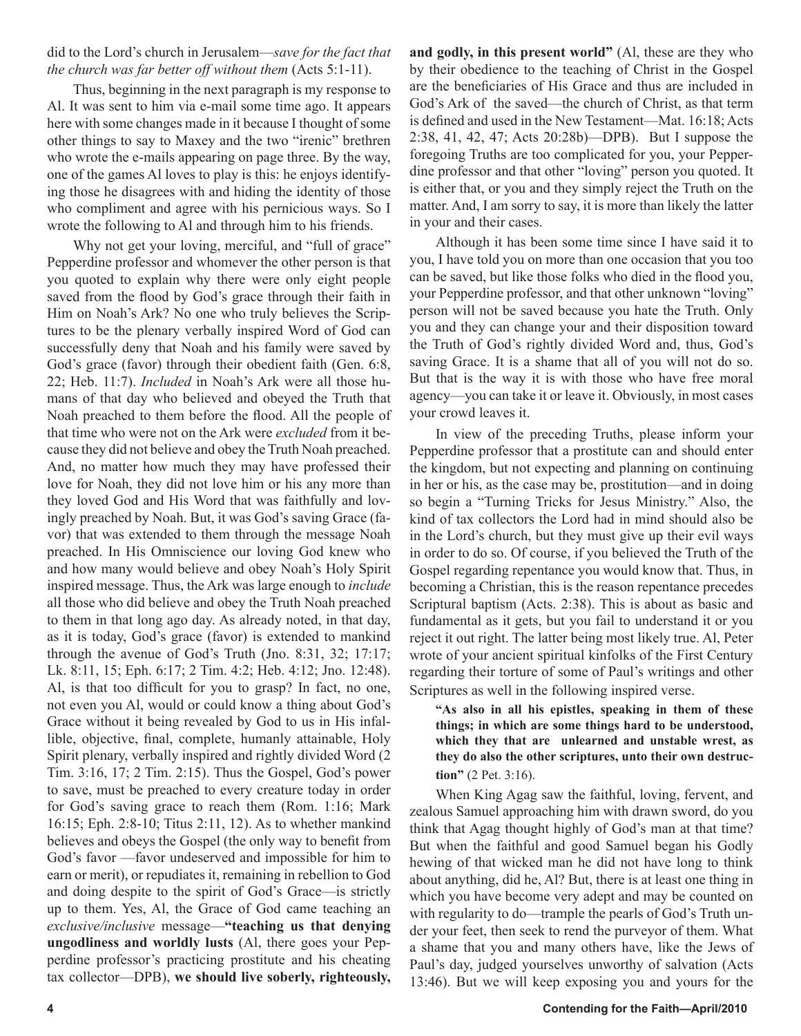# did to the Lord's church in Jerusalem—*save for the fact that the church was far better off without them* (Acts 5:1-11).

Thus, beginning in the next paragraph is my response to Al. It was sent to him via e-mail some time ago. It appears here with some changes made in it because I thought of some other things to say to Maxey and the two "irenic" brethren who wrote the e-mails appearing on page three. By the way, one of the games Al loves to play is this: he enjoys identifying those he disagrees with and hiding the identity of those who compliment and agree with his pernicious ways. So I wrote the following to Al and through him to his friends.

Why not get your loving, merciful, and "full of grace" Pepperdine professor and whomever the other person is that you quoted to explain why there were only eight people saved from the flood by God's grace through their faith in Him on Noah's Ark? No one who truly believes the Scriptures to be the plenary verbally inspired Word of God can successfully deny that Noah and his family were saved by God's grace (favor) through their obedient faith (Gen. 6:8, 22; Heb. 11:7). *Included* in Noah's Ark were all those humans of that day who believed and obeyed the Truth that Noah preached to them before the flood. All the people of that time who were not on the Ark were *excluded* from it because they did not believe and obey the Truth Noah preached. And, no matter how much they may have professed their love for Noah, they did not love him or his any more than they loved God and His Word that was faithfully and lovingly preached by Noah. But, it was God's saving Grace (favor) that was extended to them through the message Noah preached. In His Omniscience our loving God knew who and how many would believe and obey Noah's Holy Spirit inspired message. Thus, the Ark was large enough to *include* all those who did believe and obey the Truth Noah preached to them in that long ago day. As already noted, in that day, as it is today, God's grace (favor) is extended to mankind through the avenue of God's Truth (Jno. 8:31, 32; 17:17; Lk. 8:11, 15; Eph. 6:17; 2 Tim. 4:2; Heb. 4:12; Jno. 12:48). Al, is that too difficult for you to grasp? In fact, no one, not even you Al, would or could know a thing about God's Grace without it being revealed by God to us in His infallible, objective, final, complete, humanly attainable, Holy Spirit plenary, verbally inspired and rightly divided Word (2 Tim. 3:16, 17; 2 Tim. 2:15). Thus the Gospel, God's power to save, must be preached to every creature today in order for God's saving grace to reach them (Rom. 1:16; Mark 16:15; Eph. 2:8-10; Titus 2:11, 12). As to whether mankind believes and obeys the Gospel (the only way to benefit from God's favor —favor undeserved and impossible for him to earn or merit), or repudiates it, remaining in rebellion to God and doing despite to the spirit of God's Grace—is strictly up to them. Yes, Al, the Grace of God came teaching an *exclusive/inclusive* message—**"teaching us that denying ungodliness and worldly lusts** (Al, there goes your Pepperdine professor's practicing prostitute and his cheating tax collector—DPB), **we should live soberly, righteously,** 

**and godly, in this present world"** (Al, these are they who by their obedience to the teaching of Christ in the Gospel are the beneficiaries of His Grace and thus are included in God's Ark of the saved—the church of Christ, as that term is defined and used in the New Testament—Mat. 16:18; Acts 2:38, 41, 42, 47; Acts 20:28b)—DPB). But I suppose the foregoing Truths are too complicated for you, your Pepperdine professor and that other "loving" person you quoted. It is either that, or you and they simply reject the Truth on the matter. And, I am sorry to say, it is more than likely the latter in your and their cases.

Although it has been some time since I have said it to you, I have told you on more than one occasion that you too can be saved, but like those folks who died in the flood you, your Pepperdine professor, and that other unknown "loving" person will not be saved because you hate the Truth. Only you and they can change your and their disposition toward the Truth of God's rightly divided Word and, thus, God's saving Grace. It is a shame that all of you will not do so. But that is the way it is with those who have free moral agency—you can take it or leave it. Obviously, in most cases your crowd leaves it.

In view of the preceding Truths, please inform your Pepperdine professor that a prostitute can and should enter the kingdom, but not expecting and planning on continuing in her or his, as the case may be, prostitution—and in doing so begin a "Turning Tricks for Jesus Ministry." Also, the kind of tax collectors the Lord had in mind should also be in the Lord's church, but they must give up their evil ways in order to do so. Of course, if you believed the Truth of the Gospel regarding repentance you would know that. Thus, in becoming a Christian, this is the reason repentance precedes Scriptural baptism (Acts. 2:38). This is about as basic and fundamental as it gets, but you fail to understand it or you reject it out right. The latter being most likely true. Al, Peter wrote of your ancient spiritual kinfolks of the First Century regarding their torture of some of Paul's writings and other Scriptures as well in the following inspired verse.

**"As also in all his epistles, speaking in them of these things; in which are some things hard to be understood, which they that are unlearned and unstable wrest, as they do also the other scriptures, unto their own destruction"** (2 Pet. 3:16).

When King Agag saw the faithful, loving, fervent, and zealous Samuel approaching him with drawn sword, do you think that Agag thought highly of God's man at that time? But when the faithful and good Samuel began his Godly hewing of that wicked man he did not have long to think about anything, did he, Al? But, there is at least one thing in which you have become very adept and may be counted on with regularity to do—trample the pearls of God's Truth under your feet, then seek to rend the purveyor of them. What a shame that you and many others have, like the Jews of Paul's day, judged yourselves unworthy of salvation (Acts 13:46). But we will keep exposing you and yours for the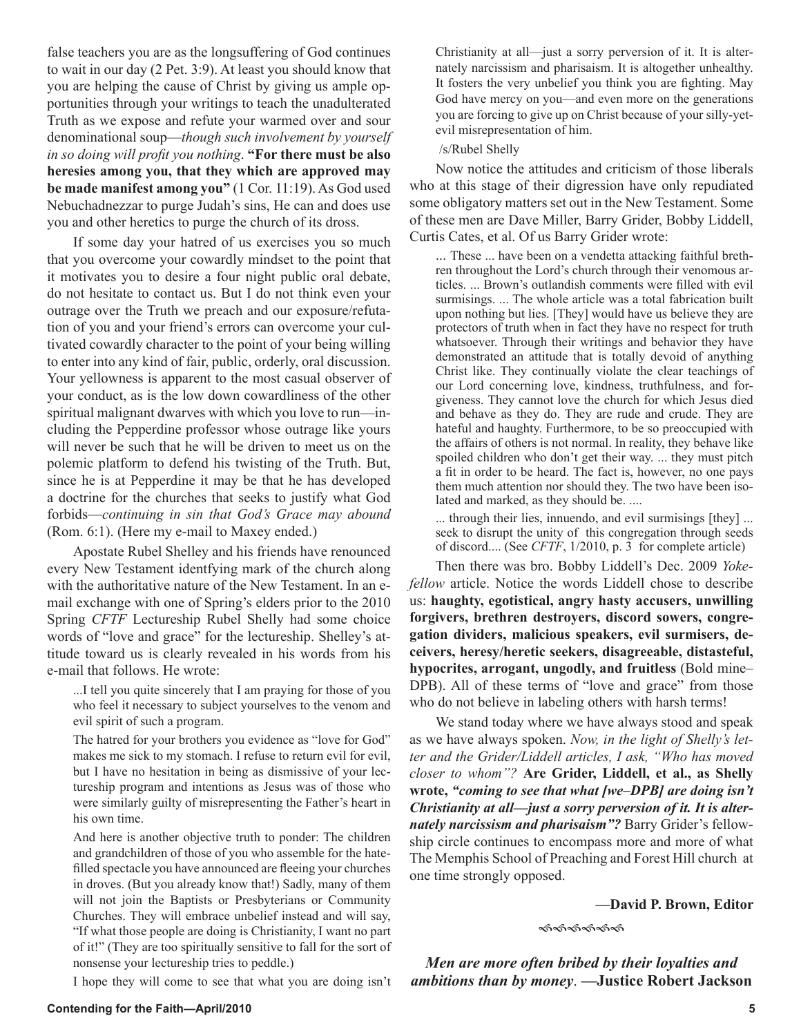to wait in our day (2 Pet. 3:9). At least you should know that you are helping the cause of Christ by giving us ample opportunities through your writings to teach the unadulterated Truth as we expose and refute your warmed over and sour denominational soup—*though such involvement by yourself in so doing will profit you nothing*. **"For there must be also heresies among you, that they which are approved may be made manifest among you"** (1 Cor. 11:19). As God used Nebuchadnezzar to purge Judah's sins, He can and does use you and other heretics to purge the church of its dross. If some day your hatred of us exercises you so much

false teachers you are as the longsuffering of God continues

that you overcome your cowardly mindset to the point that it motivates you to desire a four night public oral debate, do not hesitate to contact us. But I do not think even your outrage over the Truth we preach and our exposure/refutation of you and your friend's errors can overcome your cultivated cowardly character to the point of your being willing to enter into any kind of fair, public, orderly, oral discussion. Your yellowness is apparent to the most casual observer of your conduct, as is the low down cowardliness of the other spiritual malignant dwarves with which you love to run—including the Pepperdine professor whose outrage like yours will never be such that he will be driven to meet us on the polemic platform to defend his twisting of the Truth. But, since he is at Pepperdine it may be that he has developed a doctrine for the churches that seeks to justify what God forbids—*continuing in sin that God's Grace may abound* (Rom. 6:1). (Here my e-mail to Maxey ended.)

Apostate Rubel Shelley and his friends have renounced every New Testament identfying mark of the church along with the authoritative nature of the New Testament. In an email exchange with one of Spring's elders prior to the 2010 Spring *CFTF* Lectureship Rubel Shelly had some choice words of "love and grace" for the lectureship. Shelley's attitude toward us is clearly revealed in his words from his e-mail that follows. He wrote:

...I tell you quite sincerely that I am praying for those of you who feel it necessary to subject yourselves to the venom and evil spirit of such a program.

The hatred for your brothers you evidence as "love for God" makes me sick to my stomach. I refuse to return evil for evil, but I have no hesitation in being as dismissive of your lectureship program and intentions as Jesus was of those who were similarly guilty of misrepresenting the Father's heart in his own time.

And here is another objective truth to ponder: The children and grandchildren of those of you who assemble for the hatefilled spectacle you have announced are fleeing your churches in droves. (But you already know that!) Sadly, many of them will not join the Baptists or Presbyterians or Community Churches. They will embrace unbelief instead and will say, "If what those people are doing is Christianity, I want no part of it!" (They are too spiritually sensitive to fall for the sort of nonsense your lectureship tries to peddle.)

I hope they will come to see that what you are doing isn't

Christianity at all—just a sorry perversion of it. It is alternately narcissism and pharisaism. It is altogether unhealthy. It fosters the very unbelief you think you are fighting. May God have mercy on you—and even more on the generations you are forcing to give up on Christ because of your silly-yetevil misrepresentation of him.

/s/Rubel Shelly

Now notice the attitudes and criticism of those liberals who at this stage of their digression have only repudiated some obligatory matters set out in the New Testament. Some of these men are Dave Miller, Barry Grider, Bobby Liddell, Curtis Cates, et al. Of us Barry Grider wrote:

... These ... have been on a vendetta attacking faithful brethren throughout the Lord's church through their venomous articles. ... Brown's outlandish comments were filled with evil surmisings. ... The whole article was a total fabrication built upon nothing but lies. [They] would have us believe they are protectors of truth when in fact they have no respect for truth whatsoever. Through their writings and behavior they have demonstrated an attitude that is totally devoid of anything Christ like. They continually violate the clear teachings of our Lord concerning love, kindness, truthfulness, and forgiveness. They cannot love the church for which Jesus died and behave as they do. They are rude and crude. They are hateful and haughty. Furthermore, to be so preoccupied with the affairs of others is not normal. In reality, they behave like spoiled children who don't get their way. ... they must pitch a fit in order to be heard. The fact is, however, no one pays them much attention nor should they. The two have been isolated and marked, as they should be. ....

... through their lies, innuendo, and evil surmisings [they] ... seek to disrupt the unity of this congregation through seeds of discord.... (See *CFTF*, 1/2010, p. 3 for complete article)

Then there was bro. Bobby Liddell's Dec. 2009 *Yokefellow* article. Notice the words Liddell chose to describe us: **haughty, egotistical, angry hasty accusers, unwilling forgivers, brethren destroyers, discord sowers, congregation dividers, malicious speakers, evil surmisers, deceivers, heresy/heretic seekers, disagreeable, distasteful, hypocrites, arrogant, ungodly, and fruitless** (Bold mine– DPB). All of these terms of "love and grace" from those who do not believe in labeling others with harsh terms!

We stand today where we have always stood and speak as we have always spoken. *Now, in the light of Shelly's letter and the Grider/Liddell articles, I ask, "Who has moved closer to whom"?* **Are Grider, Liddell, et al., as Shelly wrote,** *"coming to see that what [we–DPB] are doing isn't Christianity at all—just a sorry perversion of it. It is alternately narcissism and pharisaism"?* Barry Grider's fellowship circle continues to encompass more and more of what The Memphis School of Preaching and Forest Hill church at one time strongly opposed.

#### **—David P. Brown, Editor**

ଈଈଈୡଌ

*Men are more often bribed by their loyalties and ambitions than by money*. **—Justice Robert Jackson**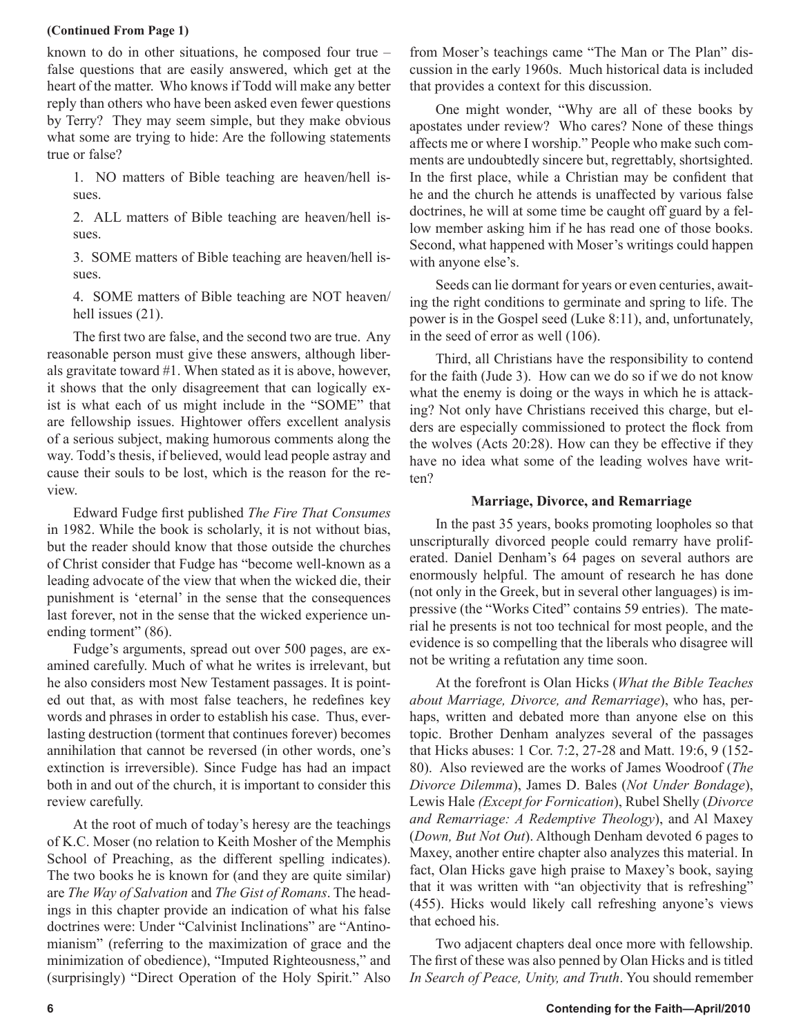## **(Continued From Page 1)**

known to do in other situations, he composed four true – false questions that are easily answered, which get at the heart of the matter. Who knows if Todd will make any better reply than others who have been asked even fewer questions by Terry? They may seem simple, but they make obvious what some are trying to hide: Are the following statements true or false?

1. NO matters of Bible teaching are heaven/hell issues.

2. ALL matters of Bible teaching are heaven/hell issues.

3. SOME matters of Bible teaching are heaven/hell issues.

4. SOME matters of Bible teaching are NOT heaven/ hell issues  $(21)$ .

The first two are false, and the second two are true. Any reasonable person must give these answers, although liberals gravitate toward #1. When stated as it is above, however, it shows that the only disagreement that can logically exist is what each of us might include in the "SOME" that are fellowship issues. Hightower offers excellent analysis of a serious subject, making humorous comments along the way. Todd's thesis, if believed, would lead people astray and cause their souls to be lost, which is the reason for the review.

Edward Fudge first published *The Fire That Consumes*  in 1982. While the book is scholarly, it is not without bias, but the reader should know that those outside the churches of Christ consider that Fudge has "become well-known as a leading advocate of the view that when the wicked die, their punishment is 'eternal' in the sense that the consequences last forever, not in the sense that the wicked experience unending torment" (86).

Fudge's arguments, spread out over 500 pages, are examined carefully. Much of what he writes is irrelevant, but he also considers most New Testament passages. It is pointed out that, as with most false teachers, he redefines key words and phrases in order to establish his case. Thus, everlasting destruction (torment that continues forever) becomes annihilation that cannot be reversed (in other words, one's extinction is irreversible). Since Fudge has had an impact both in and out of the church, it is important to consider this review carefully.

At the root of much of today's heresy are the teachings of K.C. Moser (no relation to Keith Mosher of the Memphis School of Preaching, as the different spelling indicates). The two books he is known for (and they are quite similar) are *The Way of Salvation* and *The Gist of Romans*. The headings in this chapter provide an indication of what his false doctrines were: Under "Calvinist Inclinations" are "Antinomianism" (referring to the maximization of grace and the minimization of obedience), "Imputed Righteousness," and (surprisingly) "Direct Operation of the Holy Spirit." Also from Moser's teachings came "The Man or The Plan" discussion in the early 1960s. Much historical data is included that provides a context for this discussion.

One might wonder, "Why are all of these books by apostates under review? Who cares? None of these things affects me or where I worship." People who make such comments are undoubtedly sincere but, regrettably, shortsighted. In the first place, while a Christian may be confident that he and the church he attends is unaffected by various false doctrines, he will at some time be caught off guard by a fellow member asking him if he has read one of those books. Second, what happened with Moser's writings could happen with anyone else's.

Seeds can lie dormant for years or even centuries, awaiting the right conditions to germinate and spring to life. The power is in the Gospel seed (Luke 8:11), and, unfortunately, in the seed of error as well (106).

Third, all Christians have the responsibility to contend for the faith (Jude 3). How can we do so if we do not know what the enemy is doing or the ways in which he is attacking? Not only have Christians received this charge, but elders are especially commissioned to protect the flock from the wolves (Acts 20:28). How can they be effective if they have no idea what some of the leading wolves have written?

# **Marriage, Divorce, and Remarriage**

In the past 35 years, books promoting loopholes so that unscripturally divorced people could remarry have proliferated. Daniel Denham's 64 pages on several authors are enormously helpful. The amount of research he has done (not only in the Greek, but in several other languages) is impressive (the "Works Cited" contains 59 entries). The material he presents is not too technical for most people, and the evidence is so compelling that the liberals who disagree will not be writing a refutation any time soon.

At the forefront is Olan Hicks (*What the Bible Teaches about Marriage, Divorce, and Remarriage*), who has, perhaps, written and debated more than anyone else on this topic. Brother Denham analyzes several of the passages that Hicks abuses: 1 Cor. 7:2, 27-28 and Matt. 19:6, 9 (152- 80). Also reviewed are the works of James Woodroof (*The Divorce Dilemma*), James D. Bales (*Not Under Bondage*), Lewis Hale *(Except for Fornication*), Rubel Shelly (*Divorce and Remarriage: A Redemptive Theology*), and Al Maxey (*Down, But Not Out*). Although Denham devoted 6 pages to Maxey, another entire chapter also analyzes this material. In fact, Olan Hicks gave high praise to Maxey's book, saying that it was written with "an objectivity that is refreshing" (455). Hicks would likely call refreshing anyone's views that echoed his.

Two adjacent chapters deal once more with fellowship. The first of these was also penned by Olan Hicks and is titled *In Search of Peace, Unity, and Truth*. You should remember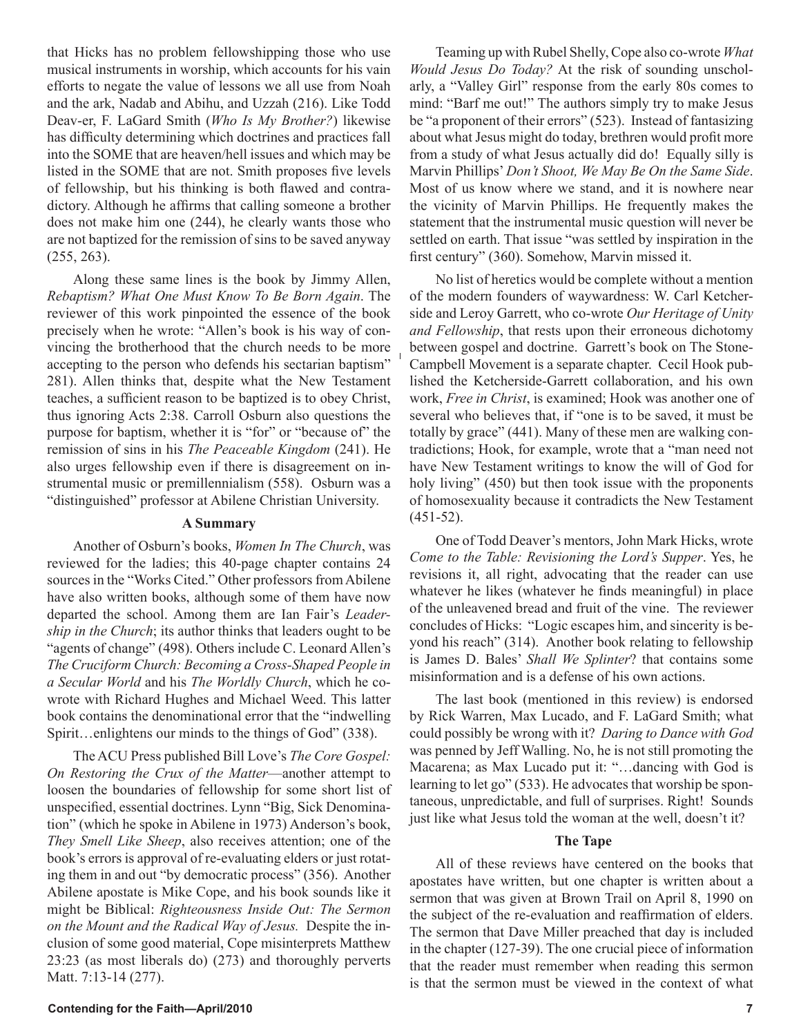that Hicks has no problem fellowshipping those who use musical instruments in worship, which accounts for his vain efforts to negate the value of lessons we all use from Noah and the ark, Nadab and Abihu, and Uzzah (216). Like Todd Deav-er, F. LaGard Smith (*Who Is My Brother?*) likewise has difficulty determining which doctrines and practices fall into the SOME that are heaven/hell issues and which may be listed in the SOME that are not. Smith proposes five levels of fellowship, but his thinking is both flawed and contradictory. Although he affirms that calling someone a brother does not make him one (244), he clearly wants those who are not baptized for the remission of sins to be saved anyway (255, 263).

Along these same lines is the book by Jimmy Allen, *Rebaptism? What One Must Know To Be Born Again*. The reviewer of this work pinpointed the essence of the book precisely when he wrote: "Allen's book is his way of convincing the brotherhood that the church needs to be more accepting to the person who defends his sectarian baptism" 281). Allen thinks that, despite what the New Testament teaches, a sufficient reason to be baptized is to obey Christ, thus ignoring Acts 2:38. Carroll Osburn also questions the purpose for baptism, whether it is "for" or "because of" the remission of sins in his *The Peaceable Kingdom* (241). He also urges fellowship even if there is disagreement on instrumental music or premillennialism (558). Osburn was a "distinguished" professor at Abilene Christian University.

## **A Summary**

Another of Osburn's books, *Women In The Church*, was reviewed for the ladies; this 40-page chapter contains 24 sources in the "Works Cited." Other professors from Abilene have also written books, although some of them have now departed the school. Among them are Ian Fair's *Leadership in the Church*; its author thinks that leaders ought to be "agents of change" (498). Others include C. Leonard Allen's *The Cruciform Church: Becoming a Cross-Shaped People in a Secular World* and his *The Worldly Church*, which he cowrote with Richard Hughes and Michael Weed. This latter book contains the denominational error that the "indwelling Spirit…enlightens our minds to the things of God" (338).

The ACU Press published Bill Love's *The Core Gospel: On Restoring the Crux of the Matter*—another attempt to loosen the boundaries of fellowship for some short list of unspecified, essential doctrines. Lynn "Big, Sick Denomination" (which he spoke in Abilene in 1973) Anderson's book, *They Smell Like Sheep*, also receives attention; one of the book's errors is approval of re-evaluating elders or just rotating them in and out "by democratic process" (356). Another Abilene apostate is Mike Cope, and his book sounds like it might be Biblical: *Righteousness Inside Out: The Sermon on the Mount and the Radical Way of Jesus.* Despite the inclusion of some good material, Cope misinterprets Matthew 23:23 (as most liberals do) (273) and thoroughly perverts Matt. 7:13-14 (277).

Teaming up with Rubel Shelly, Cope also co-wrote *What Would Jesus Do Today?* At the risk of sounding unscholarly, a "Valley Girl" response from the early 80s comes to mind: "Barf me out!" The authors simply try to make Jesus be "a proponent of their errors" (523). Instead of fantasizing about what Jesus might do today, brethren would profit more from a study of what Jesus actually did do! Equally silly is Marvin Phillips' *Don't Shoot, We May Be On the Same Side*. Most of us know where we stand, and it is nowhere near the vicinity of Marvin Phillips. He frequently makes the statement that the instrumental music question will never be settled on earth. That issue "was settled by inspiration in the first century" (360). Somehow, Marvin missed it.

No list of heretics would be complete without a mention of the modern founders of waywardness: W. Carl Ketcherside and Leroy Garrett, who co-wrote *Our Heritage of Unity and Fellowship*, that rests upon their erroneous dichotomy between gospel and doctrine. Garrett's book on The Stone-Campbell Movement is a separate chapter. Cecil Hook published the Ketcherside-Garrett collaboration, and his own work, *Free in Christ*, is examined; Hook was another one of several who believes that, if "one is to be saved, it must be totally by grace" (441). Many of these men are walking contradictions; Hook, for example, wrote that a "man need not have New Testament writings to know the will of God for holy living" (450) but then took issue with the proponents of homosexuality because it contradicts the New Testament (451-52).

One of Todd Deaver's mentors, John Mark Hicks, wrote *Come to the Table: Revisioning the Lord's Supper*. Yes, he revisions it, all right, advocating that the reader can use whatever he likes (whatever he finds meaningful) in place of the unleavened bread and fruit of the vine. The reviewer concludes of Hicks: "Logic escapes him, and sincerity is beyond his reach" (314). Another book relating to fellowship is James D. Bales' *Shall We Splinter*? that contains some misinformation and is a defense of his own actions.

The last book (mentioned in this review) is endorsed by Rick Warren, Max Lucado, and F. LaGard Smith; what could possibly be wrong with it? *Daring to Dance with God*  was penned by Jeff Walling. No, he is not still promoting the Macarena; as Max Lucado put it: "…dancing with God is learning to let go" (533). He advocates that worship be spontaneous, unpredictable, and full of surprises. Right! Sounds just like what Jesus told the woman at the well, doesn't it?

### **The Tape**

All of these reviews have centered on the books that apostates have written, but one chapter is written about a sermon that was given at Brown Trail on April 8, 1990 on the subject of the re-evaluation and reaffirmation of elders. The sermon that Dave Miller preached that day is included in the chapter (127-39). The one crucial piece of information that the reader must remember when reading this sermon is that the sermon must be viewed in the context of what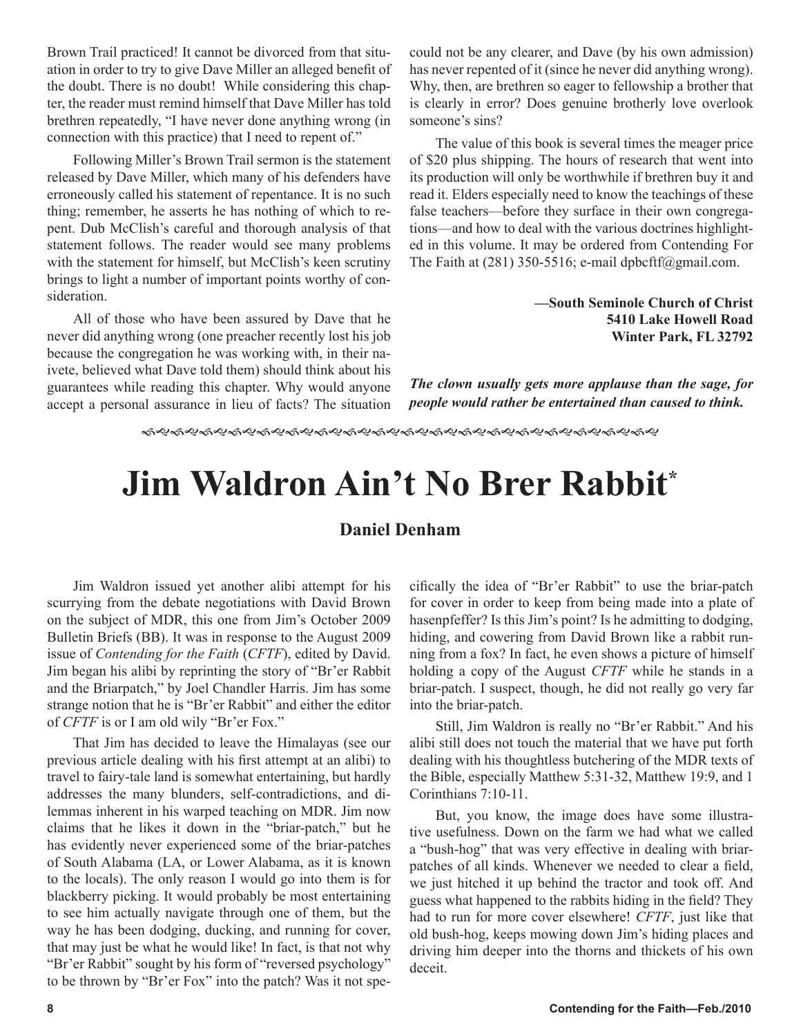Brown Trail practiced! It cannot be divorced from that situation in order to try to give Dave Miller an alleged benefit of the doubt. There is no doubt! While considering this chapter, the reader must remind himself that Dave Miller has told brethren repeatedly, "I have never done anything wrong (in connection with this practice) that I need to repent of."

Following Miller's Brown Trail sermon is the statement released by Dave Miller, which many of his defenders have erroneously called his statement of repentance. It is no such thing; remember, he asserts he has nothing of which to repent. Dub McClish's careful and thorough analysis of that statement follows. The reader would see many problems with the statement for himself, but McClish's keen scrutiny brings to light a number of important points worthy of consideration.

All of those who have been assured by Dave that he never did anything wrong (one preacher recently lost his job because the congregation he was working with, in their naivete, believed what Dave told them) should think about his guarantees while reading this chapter. Why would anyone accept a personal assurance in lieu of facts? The situation could not be any clearer, and Dave (by his own admission) has never repented of it (since he never did anything wrong). Why, then, are brethren so eager to fellowship a brother that is clearly in error? Does genuine brotherly love overlook someone's sins?

The value of this book is several times the meager price of \$20 plus shipping. The hours of research that went into its production will only be worthwhile if brethren buy it and read it. Elders especially need to know the teachings of these false teachers—before they surface in their own congregations—and how to deal with the various doctrines highlighted in this volume. It may be ordered from Contending For The Faith at  $(281)$  350-5516; e-mail dpbcftf@gmail.com.

> **—South Seminole Church of Christ 5410 Lake Howell Road Winter Park, FL 32792**

*The clown usually gets more applause than the sage, for people would rather be entertained than caused to think.*

# **Jim Waldron Ain't No Brer Rabbit\***

# **Daniel Denham**

Jim Waldron issued yet another alibi attempt for his scurrying from the debate negotiations with David Brown on the subject of MDR, this one from Jim's October 2009 Bulletin Briefs (BB). It was in response to the August 2009 issue of *Contending for the Faith* (*CFTF*), edited by David. Jim began his alibi by reprinting the story of "Br'er Rabbit and the Briarpatch," by Joel Chandler Harris. Jim has some strange notion that he is "Br'er Rabbit" and either the editor of *CFTF* is or I am old wily "Br'er Fox."

That Jim has decided to leave the Himalayas (see our previous article dealing with his first attempt at an alibi) to travel to fairy-tale land is somewhat entertaining, but hardly addresses the many blunders, self-contradictions, and dilemmas inherent in his warped teaching on MDR. Jim now claims that he likes it down in the "briar-patch," but he has evidently never experienced some of the briar-patches of South Alabama (LA, or Lower Alabama, as it is known to the locals). The only reason I would go into them is for blackberry picking. It would probably be most entertaining to see him actually navigate through one of them, but the way he has been dodging, ducking, and running for cover, that may just be what he would like! In fact, is that not why "Br'er Rabbit" sought by his form of "reversed psychology" to be thrown by "Br'er Fox" into the patch? Was it not specifically the idea of "Br'er Rabbit" to use the briar-patch for cover in order to keep from being made into a plate of hasenpfeffer? Is this Jim's point? Is he admitting to dodging, hiding, and cowering from David Brown like a rabbit running from a fox? In fact, he even shows a picture of himself holding a copy of the August *CFTF* while he stands in a briar-patch. I suspect, though, he did not really go very far into the briar-patch.

Still, Jim Waldron is really no "Br'er Rabbit." And his alibi still does not touch the material that we have put forth dealing with his thoughtless butchering of the MDR texts of the Bible, especially Matthew 5:31-32, Matthew 19:9, and 1 Corinthians 7:10-11.

But, you know, the image does have some illustrative usefulness. Down on the farm we had what we called a "bush-hog" that was very effective in dealing with briarpatches of all kinds. Whenever we needed to clear a field, we just hitched it up behind the tractor and took off. And guess what happened to the rabbits hiding in the field? They had to run for more cover elsewhere! *CFTF*, just like that old bush-hog, keeps mowing down Jim's hiding places and driving him deeper into the thorns and thickets of his own deceit.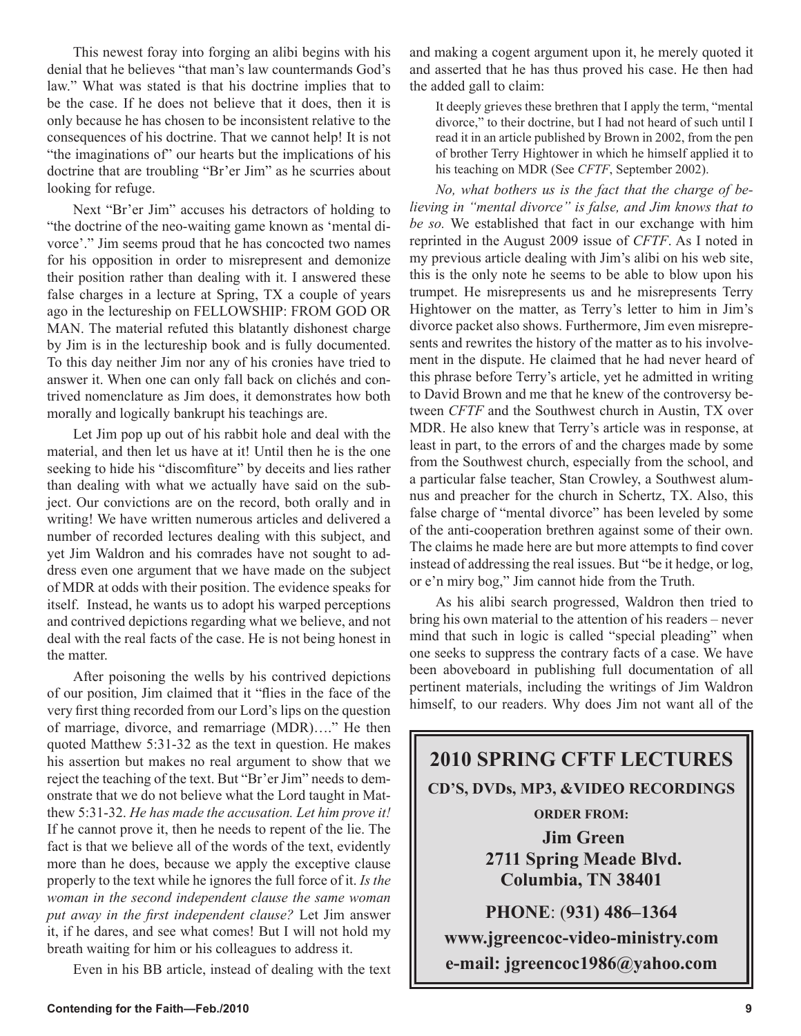This newest foray into forging an alibi begins with his denial that he believes "that man's law countermands God's law." What was stated is that his doctrine implies that to be the case. If he does not believe that it does, then it is only because he has chosen to be inconsistent relative to the consequences of his doctrine. That we cannot help! It is not "the imaginations of" our hearts but the implications of his doctrine that are troubling "Br'er Jim" as he scurries about looking for refuge.

Next "Br'er Jim" accuses his detractors of holding to "the doctrine of the neo-waiting game known as 'mental divorce'." Jim seems proud that he has concocted two names for his opposition in order to misrepresent and demonize their position rather than dealing with it. I answered these false charges in a lecture at Spring, TX a couple of years ago in the lectureship on FELLOWSHIP: FROM GOD OR MAN. The material refuted this blatantly dishonest charge by Jim is in the lectureship book and is fully documented. To this day neither Jim nor any of his cronies have tried to answer it. When one can only fall back on clichés and contrived nomenclature as Jim does, it demonstrates how both morally and logically bankrupt his teachings are.

Let Jim pop up out of his rabbit hole and deal with the material, and then let us have at it! Until then he is the one seeking to hide his "discomfiture" by deceits and lies rather than dealing with what we actually have said on the subject. Our convictions are on the record, both orally and in writing! We have written numerous articles and delivered a number of recorded lectures dealing with this subject, and yet Jim Waldron and his comrades have not sought to address even one argument that we have made on the subject of MDR at odds with their position. The evidence speaks for itself. Instead, he wants us to adopt his warped perceptions and contrived depictions regarding what we believe, and not deal with the real facts of the case. He is not being honest in the matter.

After poisoning the wells by his contrived depictions of our position, Jim claimed that it "flies in the face of the very first thing recorded from our Lord's lips on the question of marriage, divorce, and remarriage (MDR)…." He then quoted Matthew 5:31-32 as the text in question. He makes his assertion but makes no real argument to show that we reject the teaching of the text. But "Br'er Jim" needs to demonstrate that we do not believe what the Lord taught in Matthew 5:31-32. *He has made the accusation. Let him prove it!* If he cannot prove it, then he needs to repent of the lie. The fact is that we believe all of the words of the text, evidently more than he does, because we apply the exceptive clause properly to the text while he ignores the full force of it. *Is the woman in the second independent clause the same woman put away in the first independent clause?* Let Jim answer it, if he dares, and see what comes! But I will not hold my breath waiting for him or his colleagues to address it.

Even in his BB article, instead of dealing with the text

and making a cogent argument upon it, he merely quoted it and asserted that he has thus proved his case. He then had the added gall to claim:

It deeply grieves these brethren that I apply the term, "mental divorce," to their doctrine, but I had not heard of such until I read it in an article published by Brown in 2002, from the pen of brother Terry Hightower in which he himself applied it to his teaching on MDR (See *CFTF*, September 2002).

*No, what bothers us is the fact that the charge of believing in "mental divorce" is false, and Jim knows that to be so.* We established that fact in our exchange with him reprinted in the August 2009 issue of *CFTF*. As I noted in my previous article dealing with Jim's alibi on his web site, this is the only note he seems to be able to blow upon his trumpet. He misrepresents us and he misrepresents Terry Hightower on the matter, as Terry's letter to him in Jim's divorce packet also shows. Furthermore, Jim even misrepresents and rewrites the history of the matter as to his involvement in the dispute. He claimed that he had never heard of this phrase before Terry's article, yet he admitted in writing to David Brown and me that he knew of the controversy between *CFTF* and the Southwest church in Austin, TX over MDR. He also knew that Terry's article was in response, at least in part, to the errors of and the charges made by some from the Southwest church, especially from the school, and a particular false teacher, Stan Crowley, a Southwest alumnus and preacher for the church in Schertz, TX. Also, this false charge of "mental divorce" has been leveled by some of the anti-cooperation brethren against some of their own. The claims he made here are but more attempts to find cover instead of addressing the real issues. But "be it hedge, or log, or e'n miry bog," Jim cannot hide from the Truth.

As his alibi search progressed, Waldron then tried to bring his own material to the attention of his readers – never mind that such in logic is called "special pleading" when one seeks to suppress the contrary facts of a case. We have been aboveboard in publishing full documentation of all pertinent materials, including the writings of Jim Waldron himself, to our readers. Why does Jim not want all of the

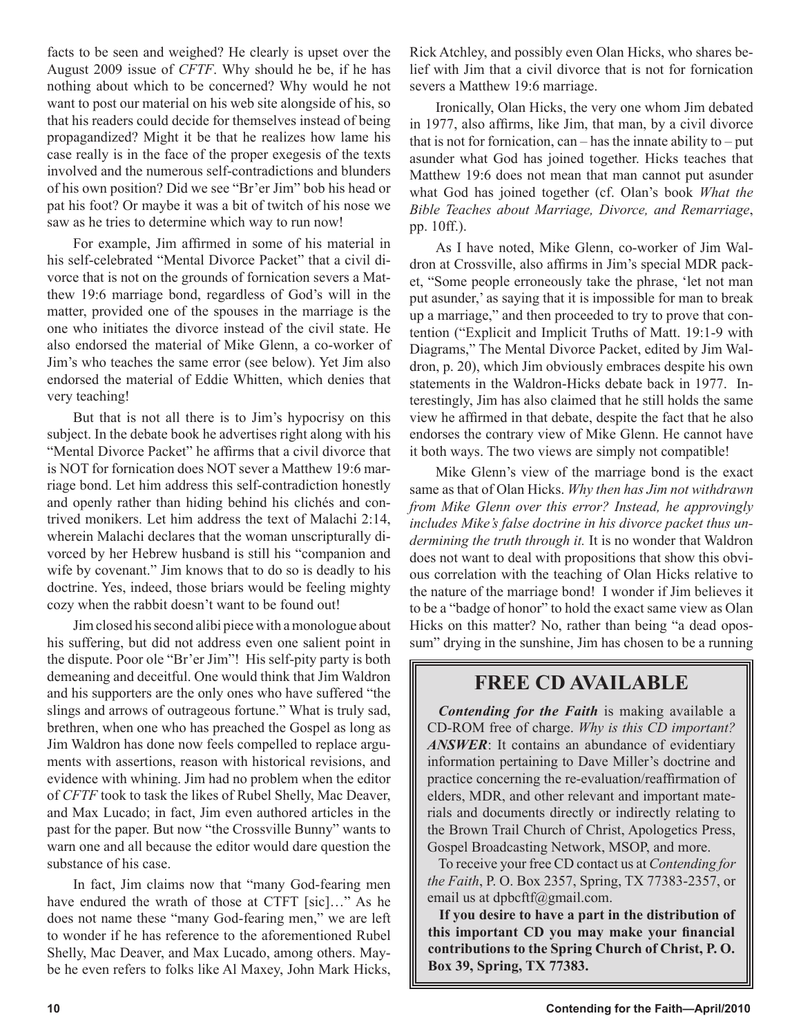facts to be seen and weighed? He clearly is upset over the August 2009 issue of *CFTF*. Why should he be, if he has nothing about which to be concerned? Why would he not want to post our material on his web site alongside of his, so that his readers could decide for themselves instead of being propagandized? Might it be that he realizes how lame his case really is in the face of the proper exegesis of the texts involved and the numerous self-contradictions and blunders of his own position? Did we see "Br'er Jim" bob his head or pat his foot? Or maybe it was a bit of twitch of his nose we saw as he tries to determine which way to run now!

For example, Jim affirmed in some of his material in his self-celebrated "Mental Divorce Packet" that a civil divorce that is not on the grounds of fornication severs a Matthew 19:6 marriage bond, regardless of God's will in the matter, provided one of the spouses in the marriage is the one who initiates the divorce instead of the civil state. He also endorsed the material of Mike Glenn, a co-worker of Jim's who teaches the same error (see below). Yet Jim also endorsed the material of Eddie Whitten, which denies that very teaching!

But that is not all there is to Jim's hypocrisy on this subject. In the debate book he advertises right along with his "Mental Divorce Packet" he affirms that a civil divorce that is NOT for fornication does NOT sever a Matthew 19:6 marriage bond. Let him address this self-contradiction honestly and openly rather than hiding behind his clichés and contrived monikers. Let him address the text of Malachi 2:14, wherein Malachi declares that the woman unscripturally divorced by her Hebrew husband is still his "companion and wife by covenant." Jim knows that to do so is deadly to his doctrine. Yes, indeed, those briars would be feeling mighty cozy when the rabbit doesn't want to be found out!

Jim closed his second alibi piece with a monologue about his suffering, but did not address even one salient point in the dispute. Poor ole "Br'er Jim"! His self-pity party is both demeaning and deceitful. One would think that Jim Waldron and his supporters are the only ones who have suffered "the slings and arrows of outrageous fortune." What is truly sad, brethren, when one who has preached the Gospel as long as Jim Waldron has done now feels compelled to replace arguments with assertions, reason with historical revisions, and evidence with whining. Jim had no problem when the editor of *CFTF* took to task the likes of Rubel Shelly, Mac Deaver, and Max Lucado; in fact, Jim even authored articles in the past for the paper. But now "the Crossville Bunny" wants to warn one and all because the editor would dare question the substance of his case.

In fact, Jim claims now that "many God-fearing men have endured the wrath of those at CTFT [sic]..." As he does not name these "many God-fearing men," we are left to wonder if he has reference to the aforementioned Rubel Shelly, Mac Deaver, and Max Lucado, among others. Maybe he even refers to folks like Al Maxey, John Mark Hicks, Rick Atchley, and possibly even Olan Hicks, who shares belief with Jim that a civil divorce that is not for fornication severs a Matthew 19:6 marriage.

Ironically, Olan Hicks, the very one whom Jim debated in 1977, also affirms, like Jim, that man, by a civil divorce that is not for fornication, can – has the innate ability to – put asunder what God has joined together. Hicks teaches that Matthew 19:6 does not mean that man cannot put asunder what God has joined together (cf. Olan's book *What the Bible Teaches about Marriage, Divorce, and Remarriage*, pp. 10ff.).

As I have noted, Mike Glenn, co-worker of Jim Waldron at Crossville, also affirms in Jim's special MDR packet, "Some people erroneously take the phrase, 'let not man put asunder,' as saying that it is impossible for man to break up a marriage," and then proceeded to try to prove that contention ("Explicit and Implicit Truths of Matt. 19:1-9 with Diagrams," The Mental Divorce Packet, edited by Jim Waldron, p. 20), which Jim obviously embraces despite his own statements in the Waldron-Hicks debate back in 1977. Interestingly, Jim has also claimed that he still holds the same view he affirmed in that debate, despite the fact that he also endorses the contrary view of Mike Glenn. He cannot have it both ways. The two views are simply not compatible!

Mike Glenn's view of the marriage bond is the exact same as that of Olan Hicks. *Why then has Jim not withdrawn from Mike Glenn over this error? Instead, he approvingly includes Mike's false doctrine in his divorce packet thus undermining the truth through it.* It is no wonder that Waldron does not want to deal with propositions that show this obvious correlation with the teaching of Olan Hicks relative to the nature of the marriage bond! I wonder if Jim believes it to be a "badge of honor" to hold the exact same view as Olan Hicks on this matter? No, rather than being "a dead opossum" drying in the sunshine, Jim has chosen to be a running

# **FREE CD AVAILABLE**

*Contending for the Faith* is making available a CD-ROM free of charge. *Why is this CD important? ANSWER*: It contains an abundance of evidentiary information pertaining to Dave Miller's doctrine and practice concerning the re-evaluation/reaffirmation of elders, MDR, and other relevant and important materials and documents directly or indirectly relating to the Brown Trail Church of Christ, Apologetics Press, Gospel Broadcasting Network, MSOP, and more.

To receive your free CD contact us at *Contending for the Faith*, P. O. Box 2357, Spring, TX 77383-2357, or email us at dpbcftf@gmail.com.

**If you desire to have a part in the distribution of this important CD you may make your financial contributions to the Spring Church of Christ, P. O. Box 39, Spring, TX 77383.**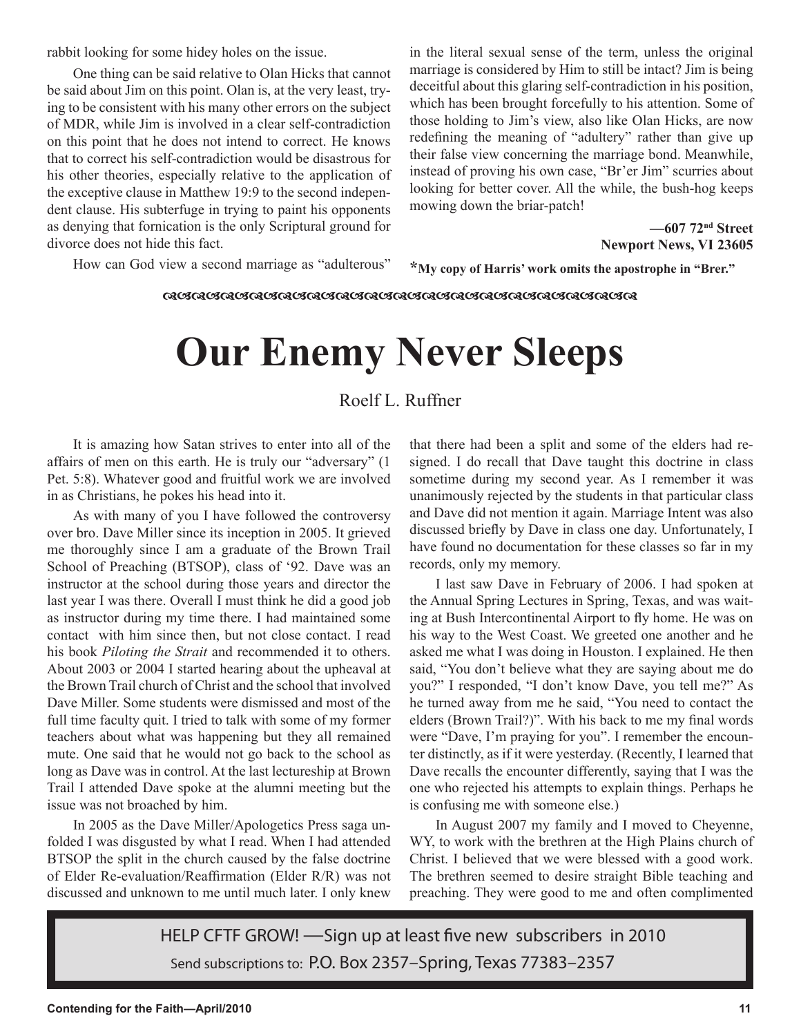rabbit looking for some hidey holes on the issue.

One thing can be said relative to Olan Hicks that cannot be said about Jim on this point. Olan is, at the very least, trying to be consistent with his many other errors on the subject of MDR, while Jim is involved in a clear self-contradiction on this point that he does not intend to correct. He knows that to correct his self-contradiction would be disastrous for his other theories, especially relative to the application of the exceptive clause in Matthew 19:9 to the second independent clause. His subterfuge in trying to paint his opponents as denying that fornication is the only Scriptural ground for divorce does not hide this fact.

in the literal sexual sense of the term, unless the original marriage is considered by Him to still be intact? Jim is being deceitful about this glaring self-contradiction in his position, which has been brought forcefully to his attention. Some of those holding to Jim's view, also like Olan Hicks, are now redefining the meaning of "adultery" rather than give up their false view concerning the marriage bond. Meanwhile, instead of proving his own case, "Br'er Jim" scurries about looking for better cover. All the while, the bush-hog keeps mowing down the briar-patch!

> **—607 72nd Street Newport News, VI 23605**

How can God view a second marriage as "adulterous"

**\*My copy of Harris' work omits the apostrophe in "Brer."**

**ଊଔଊଔଊଔଊଔଊଔଊଔଊଔଊଔଊଔଊଔଊଔଊଔଊଔଊଔଊଔଌ** 

# **Our Enemy Never Sleeps**

# Roelf L. Ruffner

It is amazing how Satan strives to enter into all of the affairs of men on this earth. He is truly our "adversary" (1 Pet. 5:8). Whatever good and fruitful work we are involved in as Christians, he pokes his head into it.

As with many of you I have followed the controversy over bro. Dave Miller since its inception in 2005. It grieved me thoroughly since I am a graduate of the Brown Trail School of Preaching (BTSOP), class of '92. Dave was an instructor at the school during those years and director the last year I was there. Overall I must think he did a good job as instructor during my time there. I had maintained some contact with him since then, but not close contact. I read his book *Piloting the Strait* and recommended it to others. About 2003 or 2004 I started hearing about the upheaval at the Brown Trail church of Christ and the school that involved Dave Miller. Some students were dismissed and most of the full time faculty quit. I tried to talk with some of my former teachers about what was happening but they all remained mute. One said that he would not go back to the school as long as Dave was in control. At the last lectureship at Brown Trail I attended Dave spoke at the alumni meeting but the issue was not broached by him.

In 2005 as the Dave Miller/Apologetics Press saga unfolded I was disgusted by what I read. When I had attended BTSOP the split in the church caused by the false doctrine of Elder Re-evaluation/Reaffirmation (Elder R/R) was not discussed and unknown to me until much later. I only knew

that there had been a split and some of the elders had resigned. I do recall that Dave taught this doctrine in class sometime during my second year. As I remember it was unanimously rejected by the students in that particular class and Dave did not mention it again. Marriage Intent was also discussed briefly by Dave in class one day. Unfortunately, I have found no documentation for these classes so far in my records, only my memory.

I last saw Dave in February of 2006. I had spoken at the Annual Spring Lectures in Spring, Texas, and was waiting at Bush Intercontinental Airport to fly home. He was on his way to the West Coast. We greeted one another and he asked me what I was doing in Houston. I explained. He then said, "You don't believe what they are saying about me do you?" I responded, "I don't know Dave, you tell me?" As he turned away from me he said, "You need to contact the elders (Brown Trail?)". With his back to me my final words were "Dave, I'm praying for you". I remember the encounter distinctly, as if it were yesterday. (Recently, I learned that Dave recalls the encounter differently, saying that I was the one who rejected his attempts to explain things. Perhaps he is confusing me with someone else.)

In August 2007 my family and I moved to Cheyenne, WY, to work with the brethren at the High Plains church of Christ. I believed that we were blessed with a good work. The brethren seemed to desire straight Bible teaching and preaching. They were good to me and often complimented

HELP CFTF GROW! —Sign up at least five new subscribers in 2010 Send subscriptions to: P.O. Box 2357–Spring, Texas 77383–2357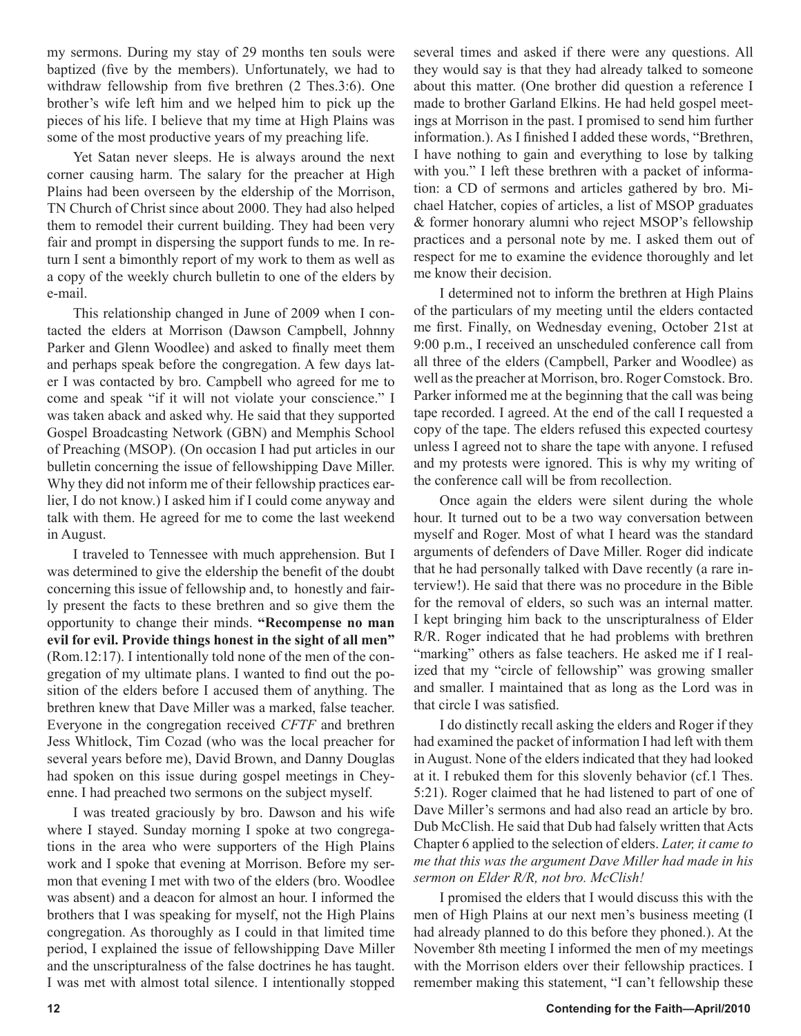my sermons. During my stay of 29 months ten souls were baptized (five by the members). Unfortunately, we had to withdraw fellowship from five brethren (2 Thes.3:6). One brother's wife left him and we helped him to pick up the pieces of his life. I believe that my time at High Plains was some of the most productive years of my preaching life.

Yet Satan never sleeps. He is always around the next corner causing harm. The salary for the preacher at High Plains had been overseen by the eldership of the Morrison, TN Church of Christ since about 2000. They had also helped them to remodel their current building. They had been very fair and prompt in dispersing the support funds to me. In return I sent a bimonthly report of my work to them as well as a copy of the weekly church bulletin to one of the elders by e-mail.

This relationship changed in June of 2009 when I contacted the elders at Morrison (Dawson Campbell, Johnny Parker and Glenn Woodlee) and asked to finally meet them and perhaps speak before the congregation. A few days later I was contacted by bro. Campbell who agreed for me to come and speak "if it will not violate your conscience." I was taken aback and asked why. He said that they supported Gospel Broadcasting Network (GBN) and Memphis School of Preaching (MSOP). (On occasion I had put articles in our bulletin concerning the issue of fellowshipping Dave Miller. Why they did not inform me of their fellowship practices earlier, I do not know.) I asked him if I could come anyway and talk with them. He agreed for me to come the last weekend in August.

I traveled to Tennessee with much apprehension. But I was determined to give the eldership the benefit of the doubt concerning this issue of fellowship and, to honestly and fairly present the facts to these brethren and so give them the opportunity to change their minds. **"Recompense no man evil for evil. Provide things honest in the sight of all men"** (Rom.12:17). I intentionally told none of the men of the congregation of my ultimate plans. I wanted to find out the position of the elders before I accused them of anything. The brethren knew that Dave Miller was a marked, false teacher. Everyone in the congregation received *CFTF* and brethren Jess Whitlock, Tim Cozad (who was the local preacher for several years before me), David Brown, and Danny Douglas had spoken on this issue during gospel meetings in Cheyenne. I had preached two sermons on the subject myself.

I was treated graciously by bro. Dawson and his wife where I stayed. Sunday morning I spoke at two congregations in the area who were supporters of the High Plains work and I spoke that evening at Morrison. Before my sermon that evening I met with two of the elders (bro. Woodlee was absent) and a deacon for almost an hour. I informed the brothers that I was speaking for myself, not the High Plains congregation. As thoroughly as I could in that limited time period, I explained the issue of fellowshipping Dave Miller and the unscripturalness of the false doctrines he has taught. I was met with almost total silence. I intentionally stopped several times and asked if there were any questions. All they would say is that they had already talked to someone about this matter. (One brother did question a reference I made to brother Garland Elkins. He had held gospel meetings at Morrison in the past. I promised to send him further information.). As I finished I added these words, "Brethren, I have nothing to gain and everything to lose by talking with you." I left these brethren with a packet of information: a CD of sermons and articles gathered by bro. Michael Hatcher, copies of articles, a list of MSOP graduates & former honorary alumni who reject MSOP's fellowship practices and a personal note by me. I asked them out of respect for me to examine the evidence thoroughly and let me know their decision.

I determined not to inform the brethren at High Plains of the particulars of my meeting until the elders contacted me first. Finally, on Wednesday evening, October 21st at 9:00 p.m., I received an unscheduled conference call from all three of the elders (Campbell, Parker and Woodlee) as well as the preacher at Morrison, bro. Roger Comstock. Bro. Parker informed me at the beginning that the call was being tape recorded. I agreed. At the end of the call I requested a copy of the tape. The elders refused this expected courtesy unless I agreed not to share the tape with anyone. I refused and my protests were ignored. This is why my writing of the conference call will be from recollection.

Once again the elders were silent during the whole hour. It turned out to be a two way conversation between myself and Roger. Most of what I heard was the standard arguments of defenders of Dave Miller. Roger did indicate that he had personally talked with Dave recently (a rare interview!). He said that there was no procedure in the Bible for the removal of elders, so such was an internal matter. I kept bringing him back to the unscripturalness of Elder R/R. Roger indicated that he had problems with brethren "marking" others as false teachers. He asked me if I realized that my "circle of fellowship" was growing smaller and smaller. I maintained that as long as the Lord was in that circle I was satisfied.

I do distinctly recall asking the elders and Roger if they had examined the packet of information I had left with them in August. None of the elders indicated that they had looked at it. I rebuked them for this slovenly behavior (cf.1 Thes. 5:21). Roger claimed that he had listened to part of one of Dave Miller's sermons and had also read an article by bro. Dub McClish. He said that Dub had falsely written that Acts Chapter 6 applied to the selection of elders. *Later, it came to me that this was the argument Dave Miller had made in his sermon on Elder R/R, not bro. McClish!*

I promised the elders that I would discuss this with the men of High Plains at our next men's business meeting (I had already planned to do this before they phoned.). At the November 8th meeting I informed the men of my meetings with the Morrison elders over their fellowship practices. I remember making this statement, "I can't fellowship these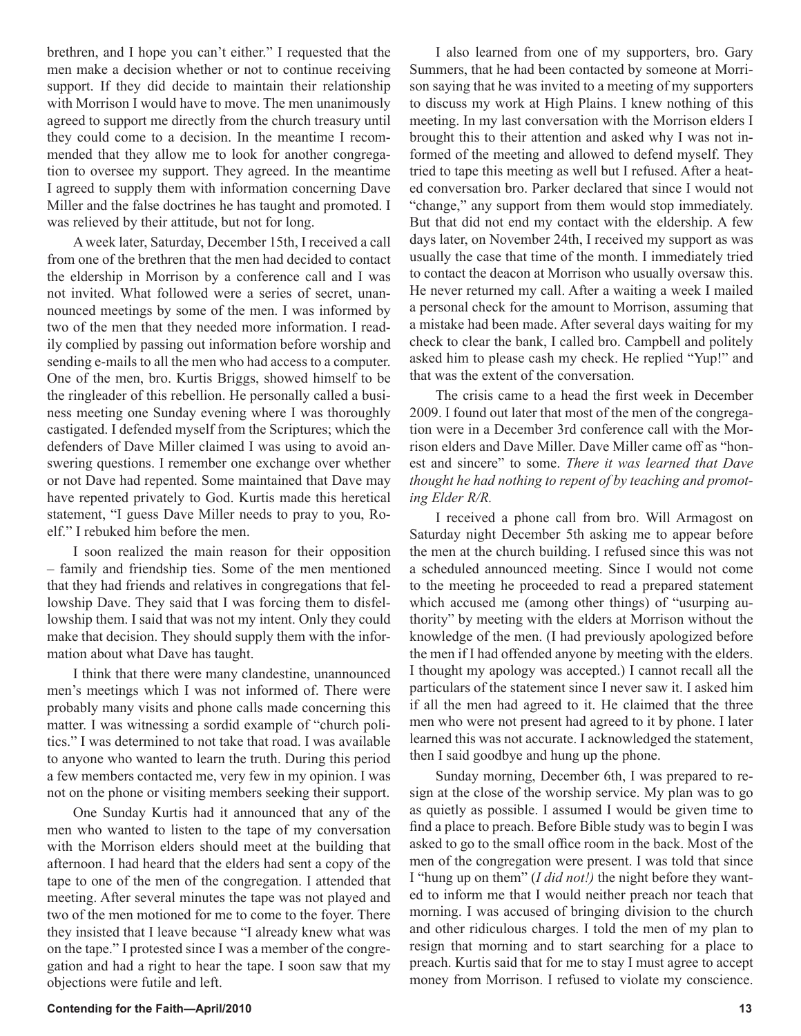brethren, and I hope you can't either." I requested that the men make a decision whether or not to continue receiving support. If they did decide to maintain their relationship with Morrison I would have to move. The men unanimously agreed to support me directly from the church treasury until they could come to a decision. In the meantime I recommended that they allow me to look for another congregation to oversee my support. They agreed. In the meantime I agreed to supply them with information concerning Dave Miller and the false doctrines he has taught and promoted. I was relieved by their attitude, but not for long.

A week later, Saturday, December 15th, I received a call from one of the brethren that the men had decided to contact the eldership in Morrison by a conference call and I was not invited. What followed were a series of secret, unannounced meetings by some of the men. I was informed by two of the men that they needed more information. I readily complied by passing out information before worship and sending e-mails to all the men who had access to a computer. One of the men, bro. Kurtis Briggs, showed himself to be the ringleader of this rebellion. He personally called a business meeting one Sunday evening where I was thoroughly castigated. I defended myself from the Scriptures; which the defenders of Dave Miller claimed I was using to avoid answering questions. I remember one exchange over whether or not Dave had repented. Some maintained that Dave may have repented privately to God. Kurtis made this heretical statement, "I guess Dave Miller needs to pray to you, Roelf." I rebuked him before the men.

I soon realized the main reason for their opposition – family and friendship ties. Some of the men mentioned that they had friends and relatives in congregations that fellowship Dave. They said that I was forcing them to disfellowship them. I said that was not my intent. Only they could make that decision. They should supply them with the information about what Dave has taught.

I think that there were many clandestine, unannounced men's meetings which I was not informed of. There were probably many visits and phone calls made concerning this matter. I was witnessing a sordid example of "church politics." I was determined to not take that road. I was available to anyone who wanted to learn the truth. During this period a few members contacted me, very few in my opinion. I was not on the phone or visiting members seeking their support.

One Sunday Kurtis had it announced that any of the men who wanted to listen to the tape of my conversation with the Morrison elders should meet at the building that afternoon. I had heard that the elders had sent a copy of the tape to one of the men of the congregation. I attended that meeting. After several minutes the tape was not played and two of the men motioned for me to come to the foyer. There they insisted that I leave because "I already knew what was on the tape." I protested since I was a member of the congregation and had a right to hear the tape. I soon saw that my objections were futile and left.

I also learned from one of my supporters, bro. Gary Summers, that he had been contacted by someone at Morrison saying that he was invited to a meeting of my supporters to discuss my work at High Plains. I knew nothing of this meeting. In my last conversation with the Morrison elders I brought this to their attention and asked why I was not informed of the meeting and allowed to defend myself. They tried to tape this meeting as well but I refused. After a heated conversation bro. Parker declared that since I would not "change," any support from them would stop immediately. But that did not end my contact with the eldership. A few days later, on November 24th, I received my support as was usually the case that time of the month. I immediately tried to contact the deacon at Morrison who usually oversaw this. He never returned my call. After a waiting a week I mailed a personal check for the amount to Morrison, assuming that a mistake had been made. After several days waiting for my check to clear the bank, I called bro. Campbell and politely asked him to please cash my check. He replied "Yup!" and that was the extent of the conversation.

The crisis came to a head the first week in December 2009. I found out later that most of the men of the congregation were in a December 3rd conference call with the Morrison elders and Dave Miller. Dave Miller came off as "honest and sincere" to some. *There it was learned that Dave thought he had nothing to repent of by teaching and promoting Elder R/R.* 

I received a phone call from bro. Will Armagost on Saturday night December 5th asking me to appear before the men at the church building. I refused since this was not a scheduled announced meeting. Since I would not come to the meeting he proceeded to read a prepared statement which accused me (among other things) of "usurping authority" by meeting with the elders at Morrison without the knowledge of the men. (I had previously apologized before the men if I had offended anyone by meeting with the elders. I thought my apology was accepted.) I cannot recall all the particulars of the statement since I never saw it. I asked him if all the men had agreed to it. He claimed that the three men who were not present had agreed to it by phone. I later learned this was not accurate. I acknowledged the statement, then I said goodbye and hung up the phone.

Sunday morning, December 6th, I was prepared to resign at the close of the worship service. My plan was to go as quietly as possible. I assumed I would be given time to find a place to preach. Before Bible study was to begin I was asked to go to the small office room in the back. Most of the men of the congregation were present. I was told that since I "hung up on them" (*I did not!)* the night before they wanted to inform me that I would neither preach nor teach that morning. I was accused of bringing division to the church and other ridiculous charges. I told the men of my plan to resign that morning and to start searching for a place to preach. Kurtis said that for me to stay I must agree to accept money from Morrison. I refused to violate my conscience.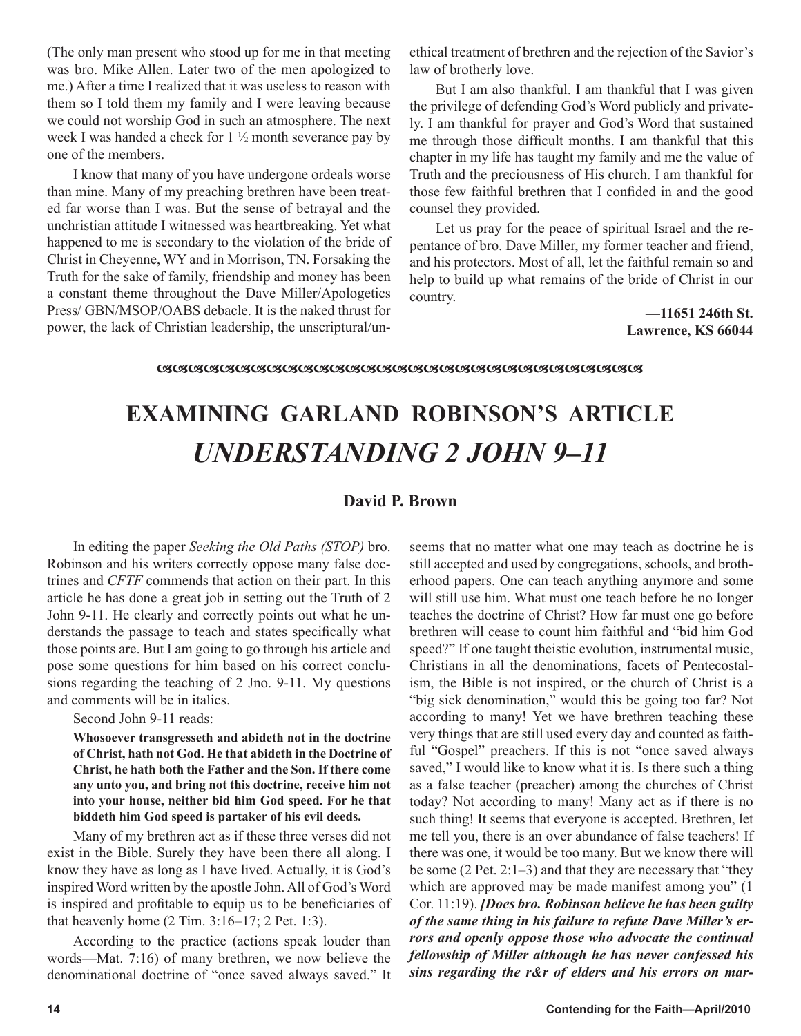(The only man present who stood up for me in that meeting was bro. Mike Allen. Later two of the men apologized to me.) After a time I realized that it was useless to reason with them so I told them my family and I were leaving because we could not worship God in such an atmosphere. The next week I was handed a check for 1 ½ month severance pay by one of the members.

I know that many of you have undergone ordeals worse than mine. Many of my preaching brethren have been treated far worse than I was. But the sense of betrayal and the unchristian attitude I witnessed was heartbreaking. Yet what happened to me is secondary to the violation of the bride of Christ in Cheyenne, WY and in Morrison, TN. Forsaking the Truth for the sake of family, friendship and money has been a constant theme throughout the Dave Miller/Apologetics Press/ GBN/MSOP/OABS debacle. It is the naked thrust for power, the lack of Christian leadership, the unscriptural/unethical treatment of brethren and the rejection of the Savior's law of brotherly love.

But I am also thankful. I am thankful that I was given the privilege of defending God's Word publicly and privately. I am thankful for prayer and God's Word that sustained me through those difficult months. I am thankful that this chapter in my life has taught my family and me the value of Truth and the preciousness of His church. I am thankful for those few faithful brethren that I confided in and the good counsel they provided.

Let us pray for the peace of spiritual Israel and the repentance of bro. Dave Miller, my former teacher and friend, and his protectors. Most of all, let the faithful remain so and help to build up what remains of the bride of Christ in our country.

> **—11651 246th St. Lawrence, KS 66044**

# **EXAMINING GARLAND ROBINSON'S ARTICLE** *UNDERSTANDING 2 JOHN 9–11*

# **David P. Brown**

In editing the paper *Seeking the Old Paths (STOP)* bro. Robinson and his writers correctly oppose many false doctrines and *CFTF* commends that action on their part. In this article he has done a great job in setting out the Truth of 2 John 9-11. He clearly and correctly points out what he understands the passage to teach and states specifically what those points are. But I am going to go through his article and pose some questions for him based on his correct conclusions regarding the teaching of 2 Jno. 9-11. My questions and comments will be in italics.

Second John 9-11 reads:

**Whosoever transgresseth and abideth not in the doctrine of Christ, hath not God. He that abideth in the Doctrine of Christ, he hath both the Father and the Son. If there come any unto you, and bring not this doctrine, receive him not into your house, neither bid him God speed. For he that biddeth him God speed is partaker of his evil deeds.**

Many of my brethren act as if these three verses did not exist in the Bible. Surely they have been there all along. I know they have as long as I have lived. Actually, it is God's inspired Word written by the apostle John. All of God's Word is inspired and profitable to equip us to be beneficiaries of that heavenly home (2 Tim. 3:16–17; 2 Pet. 1:3).

According to the practice (actions speak louder than words—Mat. 7:16) of many brethren, we now believe the denominational doctrine of "once saved always saved." It seems that no matter what one may teach as doctrine he is still accepted and used by congregations, schools, and brotherhood papers. One can teach anything anymore and some will still use him. What must one teach before he no longer teaches the doctrine of Christ? How far must one go before brethren will cease to count him faithful and "bid him God speed?" If one taught theistic evolution, instrumental music, Christians in all the denominations, facets of Pentecostalism, the Bible is not inspired, or the church of Christ is a "big sick denomination," would this be going too far? Not according to many! Yet we have brethren teaching these very things that are still used every day and counted as faithful "Gospel" preachers. If this is not "once saved always saved," I would like to know what it is. Is there such a thing as a false teacher (preacher) among the churches of Christ today? Not according to many! Many act as if there is no such thing! It seems that everyone is accepted. Brethren, let me tell you, there is an over abundance of false teachers! If there was one, it would be too many. But we know there will be some (2 Pet. 2:1–3) and that they are necessary that "they which are approved may be made manifest among you" (1 Cor. 11:19). *[Does bro. Robinson believe he has been guilty of the same thing in his failure to refute Dave Miller's errors and openly oppose those who advocate the continual fellowship of Miller although he has never confessed his sins regarding the r&r of elders and his errors on mar-*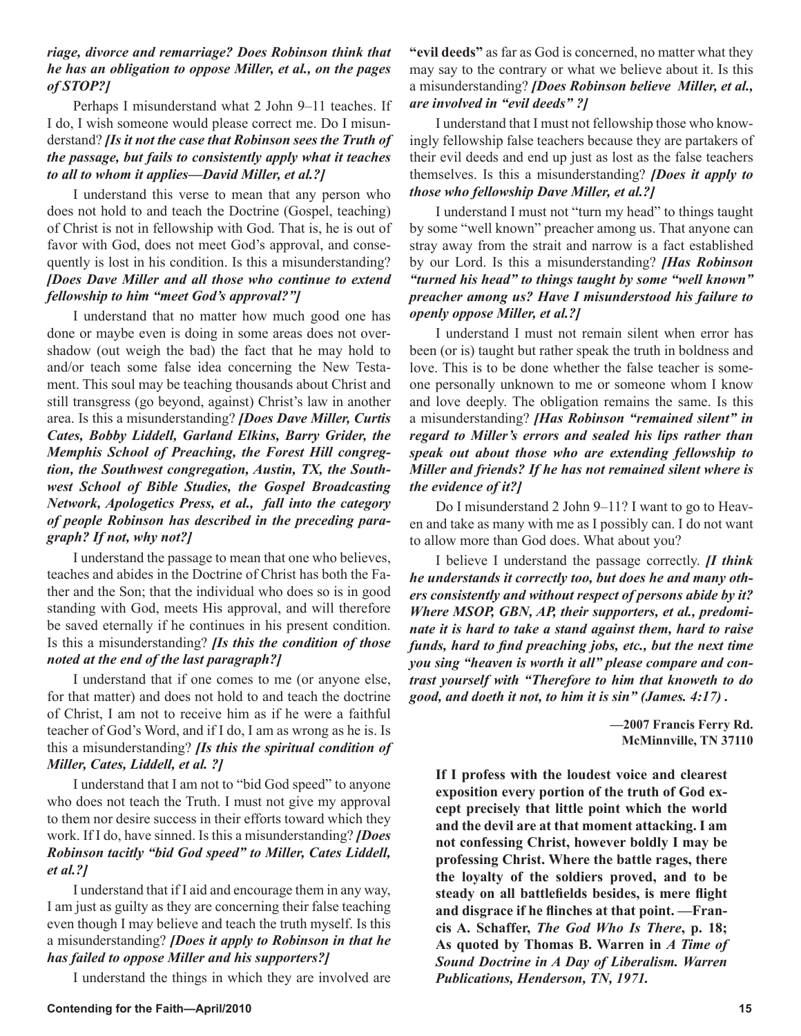# *riage, divorce and remarriage? Does Robinson think that he has an obligation to oppose Miller, et al., on the pages of STOP?]*

Perhaps I misunderstand what 2 John 9–11 teaches. If I do, I wish someone would please correct me. Do I misunderstand? *[Is it not the case that Robinson sees the Truth of the passage, but fails to consistently apply what it teaches to all to whom it applies—David Miller, et al.?]* 

I understand this verse to mean that any person who does not hold to and teach the Doctrine (Gospel, teaching) of Christ is not in fellowship with God. That is, he is out of favor with God, does not meet God's approval, and consequently is lost in his condition. Is this a misunderstanding? *[Does Dave Miller and all those who continue to extend fellowship to him "meet God's approval?"]*

I understand that no matter how much good one has done or maybe even is doing in some areas does not overshadow (out weigh the bad) the fact that he may hold to and/or teach some false idea concerning the New Testament. This soul may be teaching thousands about Christ and still transgress (go beyond, against) Christ's law in another area. Is this a misunderstanding? *[Does Dave Miller, Curtis Cates, Bobby Liddell, Garland Elkins, Barry Grider, the Memphis School of Preaching, the Forest Hill congregtion, the Southwest congregation, Austin, TX, the Southwest School of Bible Studies, the Gospel Broadcasting Network, Apologetics Press, et al., fall into the category of people Robinson has described in the preceding paragraph? If not, why not?]*

I understand the passage to mean that one who believes, teaches and abides in the Doctrine of Christ has both the Father and the Son; that the individual who does so is in good standing with God, meets His approval, and will therefore be saved eternally if he continues in his present condition. Is this a misunderstanding? *[Is this the condition of those noted at the end of the last paragraph?]*

I understand that if one comes to me (or anyone else, for that matter) and does not hold to and teach the doctrine of Christ, I am not to receive him as if he were a faithful teacher of God's Word, and if I do, I am as wrong as he is. Is this a misunderstanding? *[Is this the spiritual condition of Miller, Cates, Liddell, et al. ?]*

I understand that I am not to "bid God speed" to anyone who does not teach the Truth. I must not give my approval to them nor desire success in their efforts toward which they work. If I do, have sinned. Is this a misunderstanding? *[Does Robinson tacitly "bid God speed" to Miller, Cates Liddell, et al.?]* 

I understand that if I aid and encourage them in any way, I am just as guilty as they are concerning their false teaching even though I may believe and teach the truth myself. Is this a misunderstanding? *[Does it apply to Robinson in that he has failed to oppose Miller and his supporters?]*

I understand the things in which they are involved are

**"evil deeds"** as far as God is concerned, no matter what they may say to the contrary or what we believe about it. Is this a misunderstanding? *[Does Robinson believe Miller, et al., are involved in "evil deeds" ?]*

I understand that I must not fellowship those who knowingly fellowship false teachers because they are partakers of their evil deeds and end up just as lost as the false teachers themselves. Is this a misunderstanding? *[Does it apply to those who fellowship Dave Miller, et al.?]*

I understand I must not "turn my head" to things taught by some "well known" preacher among us. That anyone can stray away from the strait and narrow is a fact established by our Lord. Is this a misunderstanding? *[Has Robinson "turned his head" to things taught by some "well known" preacher among us? Have I misunderstood his failure to openly oppose Miller, et al.?]* 

I understand I must not remain silent when error has been (or is) taught but rather speak the truth in boldness and love. This is to be done whether the false teacher is someone personally unknown to me or someone whom I know and love deeply. The obligation remains the same. Is this a misunderstanding? *[Has Robinson "remained silent" in regard to Miller's errors and sealed his lips rather than speak out about those who are extending fellowship to Miller and friends? If he has not remained silent where is the evidence of it?]*

Do I misunderstand 2 John 9–11? I want to go to Heaven and take as many with me as I possibly can. I do not want to allow more than God does. What about you?

I believe I understand the passage correctly. *[I think he understands it correctly too, but does he and many others consistently and without respect of persons abide by it? Where MSOP, GBN, AP, their supporters, et al., predominate it is hard to take a stand against them, hard to raise funds, hard to find preaching jobs, etc., but the next time you sing "heaven is worth it all" please compare and contrast yourself with "Therefore to him that knoweth to do good, and doeth it not, to him it is sin" (James. 4:17) .*

> **—2007 Francis Ferry Rd. McMinnville, TN 37110**

**If I profess with the loudest voice and clearest exposition every portion of the truth of God except precisely that little point which the world and the devil are at that moment attacking. I am not confessing Christ, however boldly I may be professing Christ. Where the battle rages, there the loyalty of the soldiers proved, and to be steady on all battlefields besides, is mere flight and disgrace if he flinches at that point. —Francis A. Schaffer,** *The God Who Is There***, p. 18; As quoted by Thomas B. Warren in** *A Time of Sound Doctrine in A Day of Liberalism. Warren Publications, Henderson, TN, 1971.*